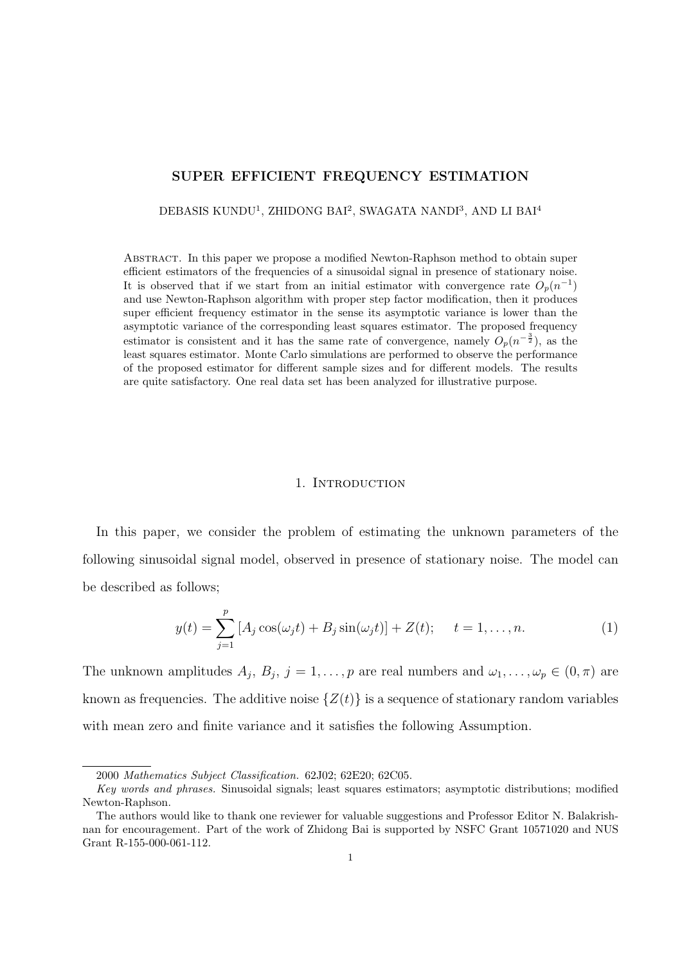#### **SUPER EFFICIENT FREQUENCY ESTIMATION**

DEBASIS KUNDU<sup>1</sup>, ZHIDONG BAI<sup>2</sup>, SWAGATA NANDI<sup>3</sup>, AND LI BAI<sup>4</sup>

Abstract. In this paper we propose a modified Newton-Raphson method to obtain super efficient estimators of the frequencies of a sinusoidal signal in presence of stationary noise. It is observed that if we start from an initial estimator with convergence rate  $O_p(n^{-1})$ and use Newton-Raphson algorithm with proper step factor modification, then it produces super efficient frequency estimator in the sense its asymptotic variance is lower than the asymptotic variance of the corresponding least squares estimator. The proposed frequency estimator is consistent and it has the same rate of convergence, namely  $O_p(n^{-\frac{3}{2}})$ , as the least squares estimator. Monte Carlo simulations are performed to observe the performance of the proposed estimator for different sample sizes and for different models. The results are quite satisfactory. One real data set has been analyzed for illustrative purpose.

## 1. INTRODUCTION

In this paper, we consider the problem of estimating the unknown parameters of the following sinusoidal signal model, observed in presence of stationary noise. The model can be described as follows;

$$
y(t) = \sum_{j=1}^{p} [A_j \cos(\omega_j t) + B_j \sin(\omega_j t)] + Z(t); \quad t = 1, ..., n.
$$
 (1)

The unknown amplitudes  $A_j$ ,  $B_j$ ,  $j = 1, \ldots, p$  are real numbers and  $\omega_1, \ldots, \omega_p \in (0, \pi)$  are known as frequencies. The additive noise  $\{Z(t)\}\$ is a sequence of stationary random variables with mean zero and finite variance and it satisfies the following Assumption.

<sup>2000</sup> *Mathematics Subject Classification.* 62J02; 62E20; 62C05.

*Key words and phrases.* Sinusoidal signals; least squares estimators; asymptotic distributions; modified Newton-Raphson.

The authors would like to thank one reviewer for valuable suggestions and Professor Editor N. Balakrishnan for encouragement. Part of the work of Zhidong Bai is supported by NSFC Grant 10571020 and NUS Grant R-155-000-061-112.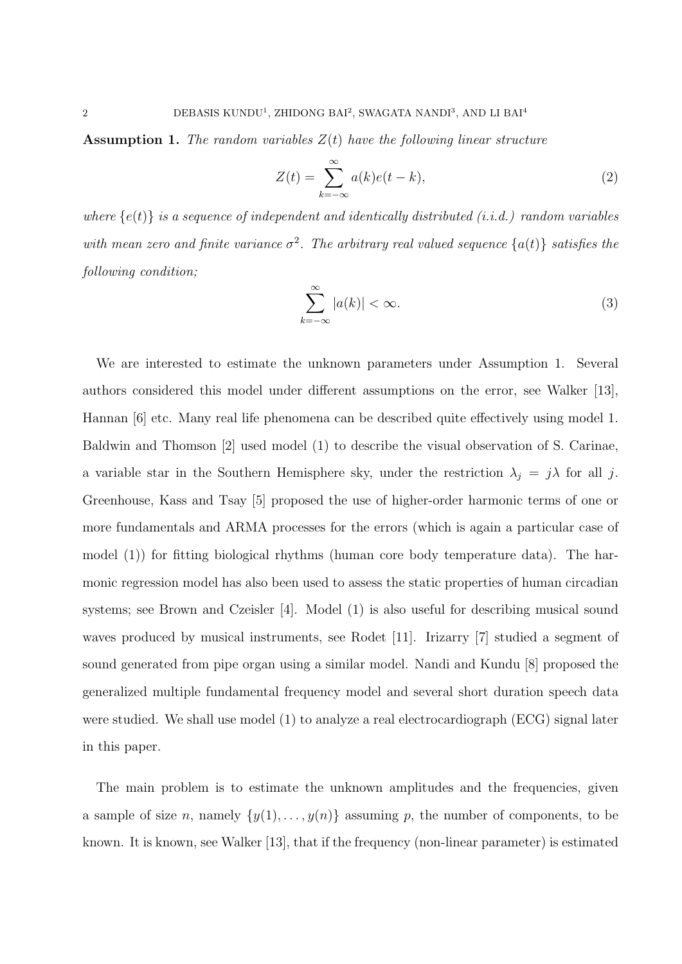**Assumption 1.** *The random variables Z*(*t*) *have the following linear structure*

$$
Z(t) = \sum_{k=-\infty}^{\infty} a(k)e(t-k),
$$
\n(2)

*where*  $\{e(t)\}\$ is a sequence of independent and identically distributed (i.i.d.) random variables with mean zero and finite variance  $\sigma^2$ . The arbitrary real valued sequence  $\{a(t)\}\$  satisfies the *following condition;*

$$
\sum_{k=-\infty}^{\infty} |a(k)| < \infty. \tag{3}
$$

We are interested to estimate the unknown parameters under Assumption 1. Several authors considered this model under different assumptions on the error, see Walker [13], Hannan [6] etc. Many real life phenomena can be described quite effectively using model 1. Baldwin and Thomson [2] used model (1) to describe the visual observation of S. Carinae, a variable star in the Southern Hemisphere sky, under the restriction  $\lambda_j = j\lambda$  for all *j*. Greenhouse, Kass and Tsay [5] proposed the use of higher-order harmonic terms of one or more fundamentals and ARMA processes for the errors (which is again a particular case of model (1)) for fitting biological rhythms (human core body temperature data). The harmonic regression model has also been used to assess the static properties of human circadian systems; see Brown and Czeisler [4]. Model (1) is also useful for describing musical sound waves produced by musical instruments, see Rodet [11]. Irizarry [7] studied a segment of sound generated from pipe organ using a similar model. Nandi and Kundu [8] proposed the generalized multiple fundamental frequency model and several short duration speech data were studied. We shall use model (1) to analyze a real electrocardiograph (ECG) signal later in this paper.

The main problem is to estimate the unknown amplitudes and the frequencies, given a sample of size *n*, namely  $\{y(1), \ldots, y(n)\}$  assuming *p*, the number of components, to be known. It is known, see Walker [13], that if the frequency (non-linear parameter) is estimated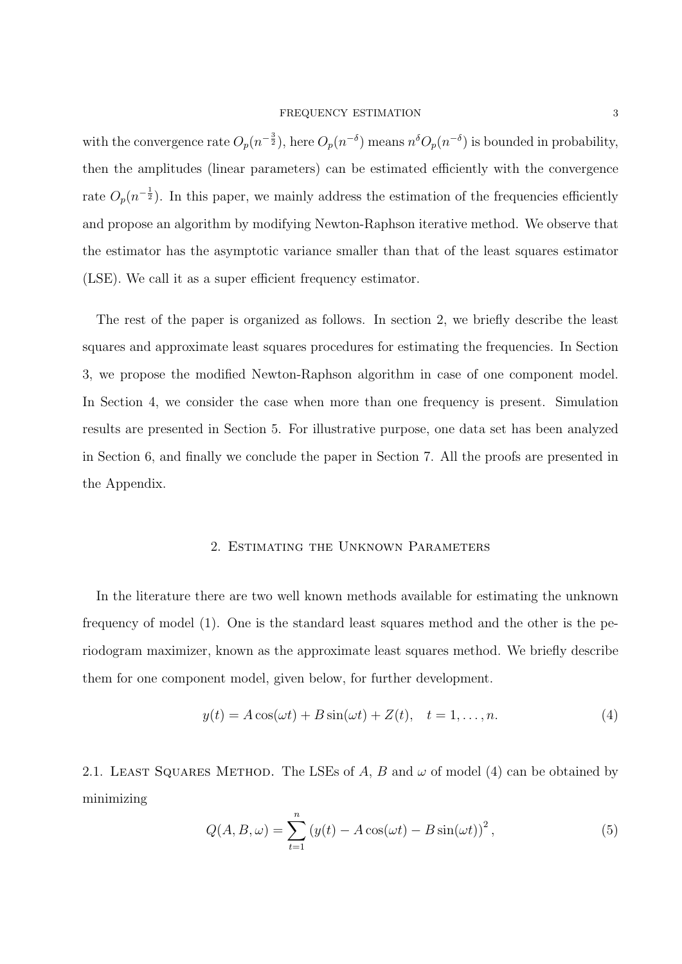with the convergence rate  $O_p(n^{-\frac{3}{2}})$ , here  $O_p(n^{-\delta})$  means  $n^{\delta}O_p(n^{-\delta})$  is bounded in probability, then the amplitudes (linear parameters) can be estimated efficiently with the convergence rate  $O_p(n^{-\frac{1}{2}})$ . In this paper, we mainly address the estimation of the frequencies efficiently and propose an algorithm by modifying Newton-Raphson iterative method. We observe that the estimator has the asymptotic variance smaller than that of the least squares estimator (LSE). We call it as a super efficient frequency estimator.

The rest of the paper is organized as follows. In section 2, we briefly describe the least squares and approximate least squares procedures for estimating the frequencies. In Section 3, we propose the modified Newton-Raphson algorithm in case of one component model. In Section 4, we consider the case when more than one frequency is present. Simulation results are presented in Section 5. For illustrative purpose, one data set has been analyzed in Section 6, and finally we conclude the paper in Section 7. All the proofs are presented in the Appendix.

## 2. Estimating the Unknown Parameters

In the literature there are two well known methods available for estimating the unknown frequency of model (1). One is the standard least squares method and the other is the periodogram maximizer, known as the approximate least squares method. We briefly describe them for one component model, given below, for further development.

$$
y(t) = A\cos(\omega t) + B\sin(\omega t) + Z(t), \quad t = 1, \dots, n. \tag{4}
$$

2.1. LEAST SQUARES METHOD. The LSEs of *A*, *B* and  $\omega$  of model (4) can be obtained by minimizing

$$
Q(A, B, \omega) = \sum_{t=1}^{n} \left( y(t) - A\cos(\omega t) - B\sin(\omega t) \right)^2, \tag{5}
$$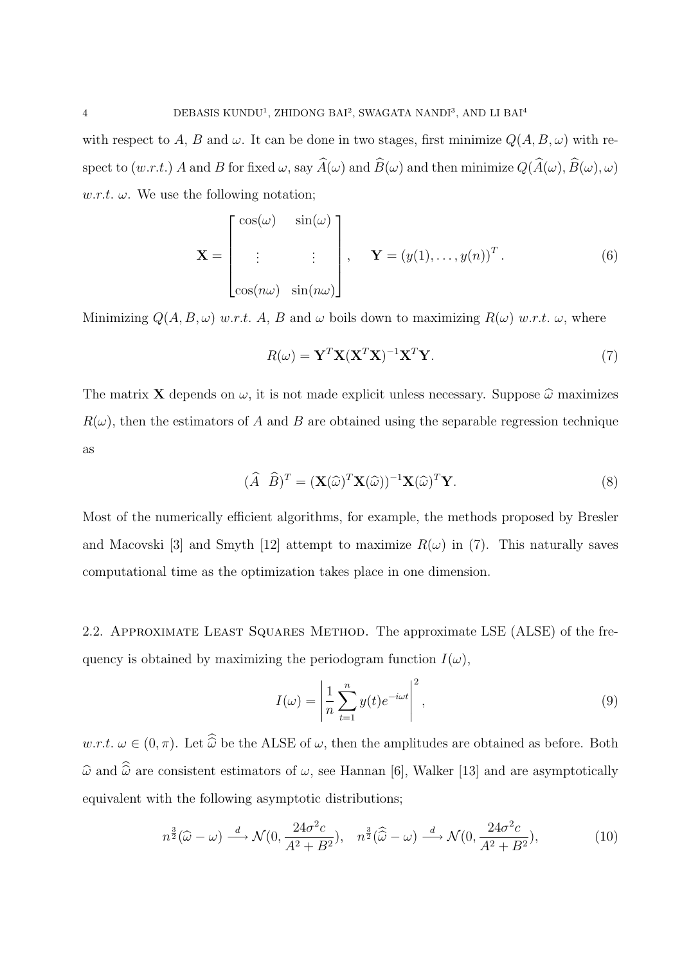with respect to *A*, *B* and  $\omega$ . It can be done in two stages, first minimize  $Q(A, B, \omega)$  with respect to  $(w.r.t.)$  *A* and *B* for fixed  $\omega$ , say  $\widehat{A}(\omega)$  and  $\widehat{B}(\omega)$  and then minimize  $Q(\widehat{A}(\omega), \widehat{B}(\omega), \omega)$  $w.r.t. \omega$ . We use the following notation;

$$
\mathbf{X} = \begin{bmatrix} \cos(\omega) & \sin(\omega) \\ \vdots & \vdots \\ \cos(n\omega) & \sin(n\omega) \end{bmatrix}, \quad \mathbf{Y} = (y(1), \dots, y(n))^T.
$$
 (6)

Minimizing  $Q(A, B, \omega)$  *w.r.t.* A, B and  $\omega$  boils down to maximizing  $R(\omega)$  *w.r.t.*  $\omega$ , where

$$
R(\omega) = \mathbf{Y}^T \mathbf{X} (\mathbf{X}^T \mathbf{X})^{-1} \mathbf{X}^T \mathbf{Y}.
$$
 (7)

The matrix **X** depends on  $\omega$ , it is not made explicit unless necessary. Suppose  $\hat{\omega}$  maximizes  $R(\omega)$ , then the estimators of *A* and *B* are obtained using the separable regression technique as

$$
(\widehat{A} \ \widehat{B})^T = (\mathbf{X}(\widehat{\omega})^T \mathbf{X}(\widehat{\omega}))^{-1} \mathbf{X}(\widehat{\omega})^T \mathbf{Y}.
$$
\n(8)

Most of the numerically efficient algorithms, for example, the methods proposed by Bresler and Macovski [3] and Smyth [12] attempt to maximize  $R(\omega)$  in (7). This naturally saves computational time as the optimization takes place in one dimension.

2.2. Approximate Least Squares Method. The approximate LSE (ALSE) of the frequency is obtained by maximizing the periodogram function  $I(\omega)$ ,

$$
I(\omega) = \left| \frac{1}{n} \sum_{t=1}^{n} y(t) e^{-i\omega t} \right|^2,
$$
\n(9)

*w.r.t.*  $\omega \in (0, \pi)$ . Let  $\widehat{\omega}$  be the ALSE of  $\omega$ , then the amplitudes are obtained as before. Both  $\widehat{\omega}$  and  $\widehat{\widehat{\omega}}$  are consistent estimators of  $\omega$ , see Hannan [6], Walker [13] and are asymptotically equivalent with the following asymptotic distributions;

$$
n^{\frac{3}{2}}(\widehat{\omega}-\omega) \xrightarrow{d} \mathcal{N}(0, \frac{24\sigma^2 c}{A^2 + B^2}), \quad n^{\frac{3}{2}}(\widehat{\widehat{\omega}}-\omega) \xrightarrow{d} \mathcal{N}(0, \frac{24\sigma^2 c}{A^2 + B^2}), \tag{10}
$$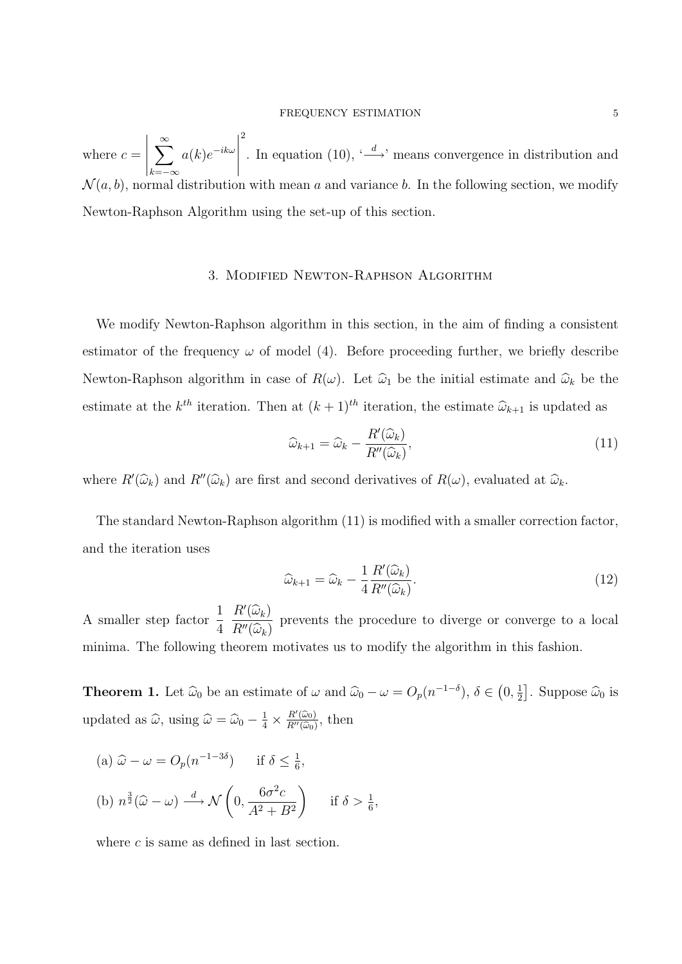where  $c =$  $\begin{array}{c} \begin{array}{c} \begin{array}{c} \end{array} \\ \begin{array}{c} \end{array} \end{array} \end{array}$ ∑*<sup>∞</sup> k*=*−∞ a*(*k*)*e −ikω*  $\begin{array}{c} \begin{array}{c} \begin{array}{c} \end{array} \\ \begin{array}{c} \end{array} \end{array} \end{array}$ 2 . In equation (10),  $\langle \frac{d}{dx} \rangle$ <sup>*m*</sup> means convergence in distribution and  $\mathcal{N}(a, b)$ , normal distribution with mean *a* and variance *b*. In the following section, we modify Newton-Raphson Algorithm using the set-up of this section.

## 3. Modified Newton-Raphson Algorithm

We modify Newton-Raphson algorithm in this section, in the aim of finding a consistent estimator of the frequency  $\omega$  of model (4). Before proceeding further, we briefly describe Newton-Raphson algorithm in case of  $R(\omega)$ . Let  $\hat{\omega}_1$  be the initial estimate and  $\hat{\omega}_k$  be the estimate at the  $k^{th}$  iteration. Then at  $(k+1)^{th}$  iteration, the estimate  $\hat{\omega}_{k+1}$  is updated as

$$
\widehat{\omega}_{k+1} = \widehat{\omega}_k - \frac{R'(\widehat{\omega}_k)}{R''(\widehat{\omega}_k)},\tag{11}
$$

where  $R'(\hat{\omega}_k)$  and  $R''(\hat{\omega}_k)$  are first and second derivatives of  $R(\omega)$ , evaluated at  $\hat{\omega}_k$ .

The standard Newton-Raphson algorithm (11) is modified with a smaller correction factor, and the iteration uses

$$
\widehat{\omega}_{k+1} = \widehat{\omega}_k - \frac{1}{4} \frac{R'(\widehat{\omega}_k)}{R''(\widehat{\omega}_k)}.
$$
\n(12)

A smaller step factor  $\frac{1}{4}$ 4  $R'(\widehat{\omega}_k)$  $R^{\prime\prime}(\widehat{\omega}_k)$ prevents the procedure to diverge or converge to a local minima. The following theorem motivates us to modify the algorithm in this fashion.

**Theorem 1.** Let  $\hat{\omega}_0$  be an estimate of  $\omega$  and  $\hat{\omega}_0 - \omega = O_p(n^{-1-\delta}), \delta \in (0, \frac{1}{2})$  $\frac{1}{2}$ . Suppose  $\widehat{\omega}_0$  is updated as  $\widehat{\omega}$ , using  $\widehat{\omega} = \widehat{\omega}_0 - \frac{1}{4} \times \frac{R'(\widehat{\omega}_0)}{R''(\widehat{\omega}_0)}$  $\frac{R'(\omega_0)}{R''(\widehat{\omega}_0)},$  then

(a) 
$$
\hat{\omega} - \omega = O_p(n^{-1-3\delta})
$$
 if  $\delta \le \frac{1}{6}$ ,  
\n(b)  $n^{\frac{3}{2}}(\hat{\omega} - \omega) \xrightarrow{d} \mathcal{N}\left(0, \frac{6\sigma^2 c}{A^2 + B^2}\right)$  if  $\delta > \frac{1}{6}$ ,

where *c* is same as defined in last section.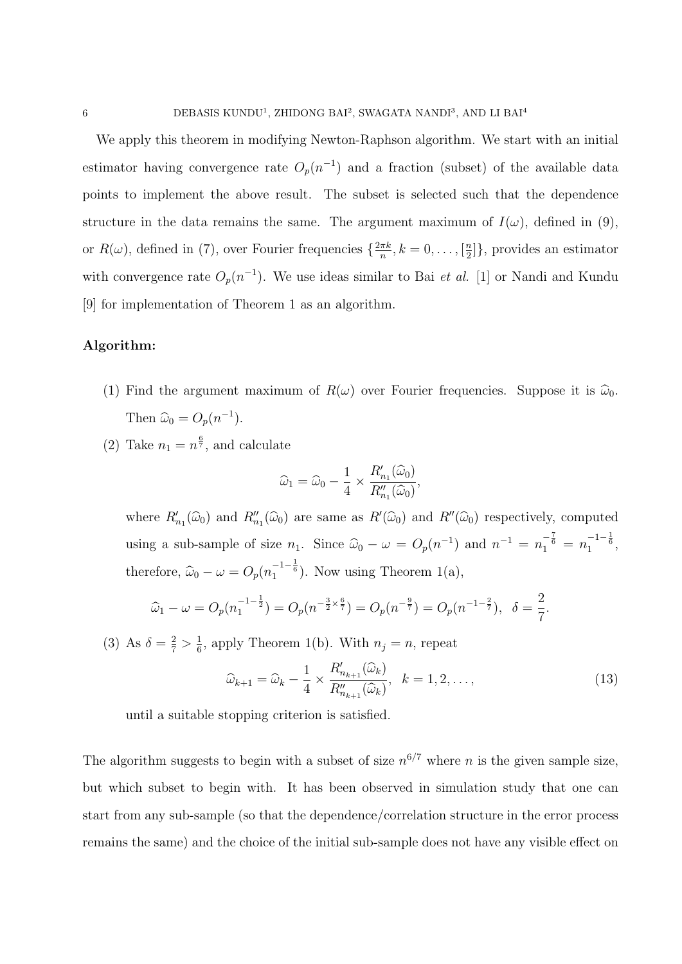We apply this theorem in modifying Newton-Raphson algorithm. We start with an initial estimator having convergence rate  $O_p(n^{-1})$  and a fraction (subset) of the available data points to implement the above result. The subset is selected such that the dependence structure in the data remains the same. The argument maximum of  $I(\omega)$ , defined in (9), or  $R(\omega)$ , defined in (7), over Fourier frequencies  $\{\frac{2\pi k}{n}\}$  $\frac{\pi k}{n}, k = 0, \ldots, \left[\frac{n}{2}\right]$ 2 ]*}*, provides an estimator with convergence rate  $O_p(n^{-1})$ . We use ideas similar to Bai *et al.* [1] or Nandi and Kundu [9] for implementation of Theorem 1 as an algorithm.

# **Algorithm:**

- (1) Find the argument maximum of  $R(\omega)$  over Fourier frequencies. Suppose it is  $\hat{\omega}_0$ . Then  $\widehat{\omega}_0 = O_p(n^{-1})$ .
- (2) Take  $n_1 = n^{\frac{6}{7}}$ , and calculate

$$
\widehat{\omega}_1 = \widehat{\omega}_0 - \frac{1}{4} \times \frac{R'_{n_1}(\widehat{\omega}_0)}{R''_{n_1}(\widehat{\omega}_0)},
$$

where  $R'_{n_1}(\hat{\omega}_0)$  and  $R''_{n_1}(\hat{\omega}_0)$  are same as  $R'(\hat{\omega}_0)$  and  $R''(\hat{\omega}_0)$  respectively, computed using a sub-sample of size  $n_1$ . Since  $\hat{\omega}_0 - \omega = O_p(n^{-1})$  and  $n^{-1} = n_1^{-\frac{7}{6}} = n_1^{-1-\frac{1}{6}}$ , therefore,  $\hat{\omega}_0 - \omega = O_p(n_1^{-1-\frac{1}{6}})$ . Now using Theorem 1(a),

$$
\widehat{\omega}_1 - \omega = O_p(n_1^{-1-\frac{1}{2}}) = O_p(n^{-\frac{3}{2}\times\frac{6}{7}}) = O_p(n^{-\frac{9}{7}}) = O_p(n^{-1-\frac{2}{7}}), \quad \delta = \frac{2}{7}.
$$

(3) As  $\delta = \frac{2}{7} > \frac{1}{6}$  $\frac{1}{6}$ , apply Theorem 1(b). With  $n_j = n$ , repeat

$$
\widehat{\omega}_{k+1} = \widehat{\omega}_k - \frac{1}{4} \times \frac{R'_{n_{k+1}}(\widehat{\omega}_k)}{R''_{n_{k+1}}(\widehat{\omega}_k)}, \ \ k = 1, 2, \dots,
$$
\n(13)

until a suitable stopping criterion is satisfied.

The algorithm suggests to begin with a subset of size  $n^{6/7}$  where *n* is the given sample size, but which subset to begin with. It has been observed in simulation study that one can start from any sub-sample (so that the dependence/correlation structure in the error process remains the same) and the choice of the initial sub-sample does not have any visible effect on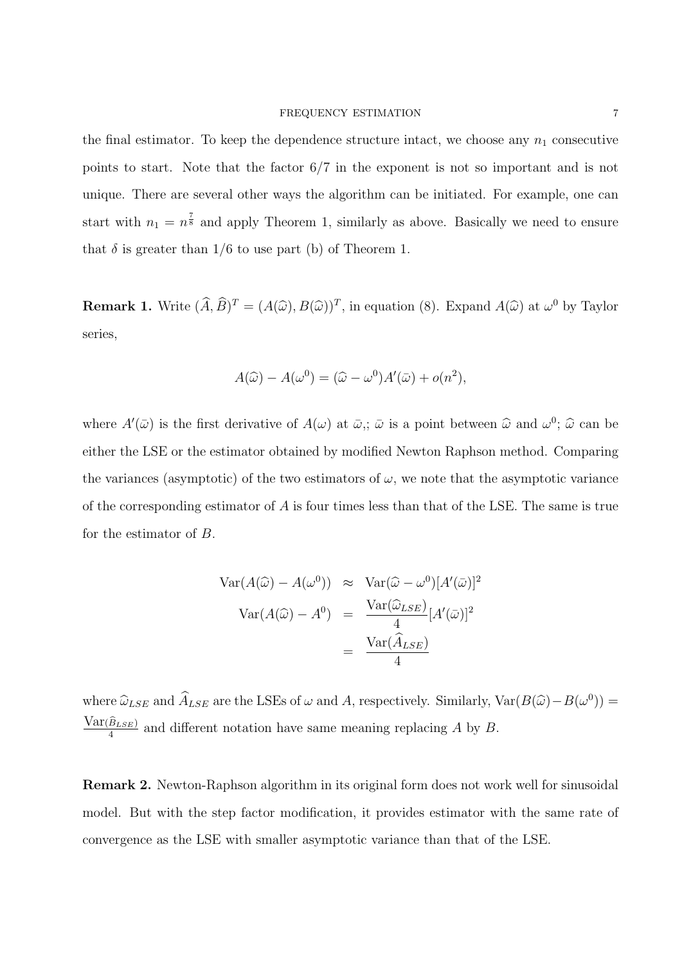#### FREQUENCY ESTIMATION 7

the final estimator. To keep the dependence structure intact, we choose any  $n_1$  consecutive points to start. Note that the factor 6*/*7 in the exponent is not so important and is not unique. There are several other ways the algorithm can be initiated. For example, one can start with  $n_1 = n^{\frac{7}{8}}$  and apply Theorem 1, similarly as above. Basically we need to ensure that  $\delta$  is greater than  $1/6$  to use part (b) of Theorem 1.

**Remark 1.** Write  $(\hat{A}, \hat{B})^T = (A(\hat{\omega}), B(\hat{\omega}))^T$ , in equation (8). Expand  $A(\hat{\omega})$  at  $\omega^0$  by Taylor series,

$$
A(\widehat{\omega}) - A(\omega^{0}) = (\widehat{\omega} - \omega^{0})A'(\bar{\omega}) + o(n^{2}),
$$

where  $A'(\bar{\omega})$  is the first derivative of  $A(\omega)$  at  $\bar{\omega}$ ,;  $\bar{\omega}$  is a point between  $\hat{\omega}$  and  $\omega^0$ ;  $\hat{\omega}$  can be either the LSE or the estimator obtained by modified Newton Raphson method. Comparing the variances (asymptotic) of the two estimators of  $\omega$ , we note that the asymptotic variance of the corresponding estimator of *A* is four times less than that of the LSE. The same is true for the estimator of *B*.

$$
Var(A(\widehat{\omega}) - A(\omega^{0})) \approx Var(\widehat{\omega} - \omega^{0})[A'(\bar{\omega})]^{2}
$$

$$
Var(A(\widehat{\omega}) - A^{0}) = \frac{Var(\widehat{\omega}_{LSE})}{4}[A'(\bar{\omega})]^{2}
$$

$$
= \frac{Var(\widehat{A}_{LSE})}{4}
$$

where  $\hat{\omega}_{LSE}$  and  $\hat{A}_{LSE}$  are the LSEs of  $\omega$  and *A*, respectively. Similarly,  $Var(B(\hat{\omega}) - B(\omega^0)) =$  $Var(\widehat{B}_{LSE})$  $\frac{B_{LSE}}{4}$  and different notation have same meaning replacing *A* by *B*.

**Remark 2.** Newton-Raphson algorithm in its original form does not work well for sinusoidal model. But with the step factor modification, it provides estimator with the same rate of convergence as the LSE with smaller asymptotic variance than that of the LSE.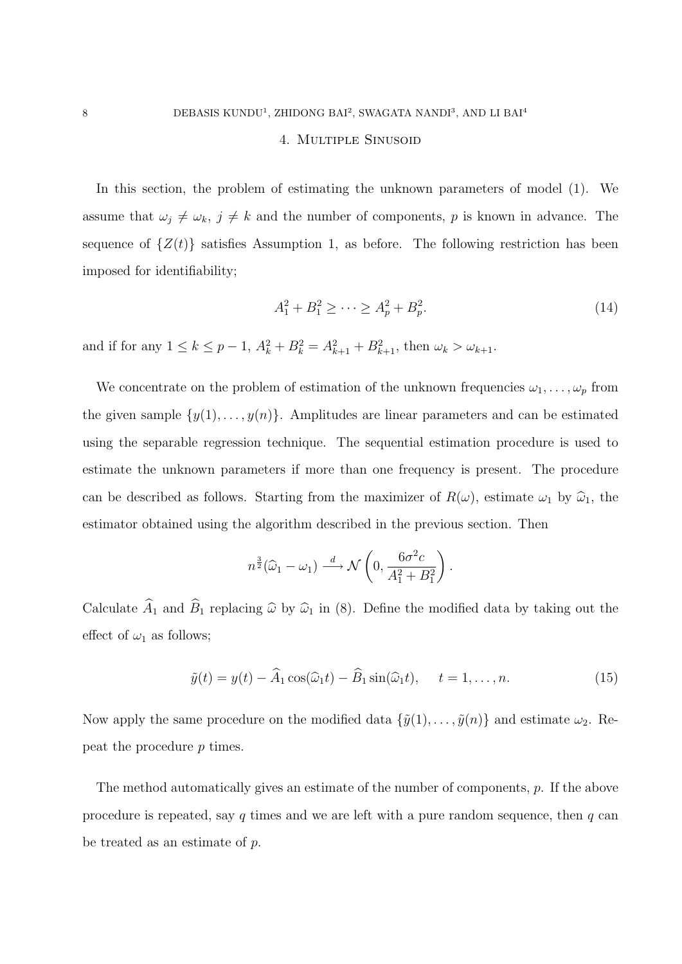## 4. Multiple Sinusoid

In this section, the problem of estimating the unknown parameters of model (1). We assume that  $\omega_j \neq \omega_k$ ,  $j \neq k$  and the number of components, *p* is known in advance. The sequence of  $\{Z(t)\}$  satisfies Assumption 1, as before. The following restriction has been imposed for identifiability;

$$
A_1^2 + B_1^2 \ge \dots \ge A_p^2 + B_p^2. \tag{14}
$$

and if for any  $1 \leq k \leq p-1$ ,  $A_k^2 + B_k^2 = A_{k+1}^2 + B_{k+1}^2$ , then  $\omega_k > \omega_{k+1}$ .

We concentrate on the problem of estimation of the unknown frequencies  $\omega_1, \ldots, \omega_p$  from the given sample  $\{y(1), \ldots, y(n)\}$ . Amplitudes are linear parameters and can be estimated using the separable regression technique. The sequential estimation procedure is used to estimate the unknown parameters if more than one frequency is present. The procedure can be described as follows. Starting from the maximizer of  $R(\omega)$ , estimate  $\omega_1$  by  $\hat{\omega}_1$ , the estimator obtained using the algorithm described in the previous section. Then

$$
n^{\frac{3}{2}}(\widehat{\omega}_1 - \omega_1) \xrightarrow{d} \mathcal{N}\left(0, \frac{6\sigma^2 c}{A_1^2 + B_1^2}\right).
$$

Calculate  $\widehat{A}_1$  and  $\widehat{B}_1$  replacing  $\widehat{\omega}$  by  $\widehat{\omega}_1$  in (8). Define the modified data by taking out the effect of  $\omega_1$  as follows;

$$
\tilde{y}(t) = y(t) - \widehat{A}_1 \cos(\widehat{\omega}_1 t) - \widehat{B}_1 \sin(\widehat{\omega}_1 t), \quad t = 1, \dots, n. \tag{15}
$$

Now apply the same procedure on the modified data  $\{\tilde{y}(1), \ldots, \tilde{y}(n)\}\$  and estimate  $\omega_2$ . Repeat the procedure *p* times.

The method automatically gives an estimate of the number of components, *p*. If the above procedure is repeated, say *q* times and we are left with a pure random sequence, then *q* can be treated as an estimate of *p*.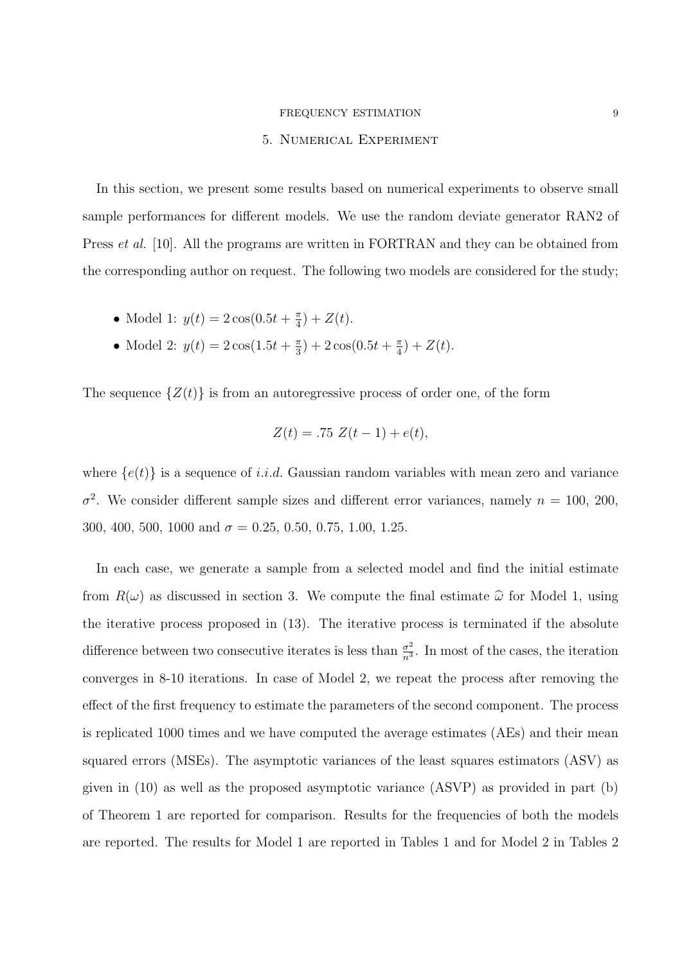#### FREQUENCY ESTIMATION 9

#### 5. Numerical Experiment

In this section, we present some results based on numerical experiments to observe small sample performances for different models. We use the random deviate generator RAN2 of Press *et al.* [10]. All the programs are written in FORTRAN and they can be obtained from the corresponding author on request. The following two models are considered for the study;

- Model 1:  $y(t) = 2\cos(0.5t + \frac{\pi}{4})$  $(\frac{\pi}{4}) + Z(t).$
- Model 2:  $y(t) = 2\cos(1.5t + \frac{\pi}{3})$  $(\frac{\pi}{3}) + 2\cos(0.5t + \frac{\pi}{4})$  $(\frac{\pi}{4}) + Z(t).$

The sequence  $\{Z(t)\}\$ is from an autoregressive process of order one, of the form

$$
Z(t) = .75 Z(t - 1) + e(t),
$$

where  ${e(t)}$  is a sequence of *i.i.d.* Gaussian random variables with mean zero and variance  $\sigma^2$ . We consider different sample sizes and different error variances, namely  $n = 100, 200$ , 300, 400, 500, 1000 and  $\sigma = 0.25, 0.50, 0.75, 1.00, 1.25$ .

In each case, we generate a sample from a selected model and find the initial estimate from  $R(\omega)$  as discussed in section 3. We compute the final estimate  $\hat{\omega}$  for Model 1, using the iterative process proposed in (13). The iterative process is terminated if the absolute difference between two consecutive iterates is less than  $\frac{\sigma^2}{n^3}$  $\frac{\sigma^2}{n^3}$ . In most of the cases, the iteration converges in 8-10 iterations. In case of Model 2, we repeat the process after removing the effect of the first frequency to estimate the parameters of the second component. The process is replicated 1000 times and we have computed the average estimates (AEs) and their mean squared errors (MSEs). The asymptotic variances of the least squares estimators (ASV) as given in (10) as well as the proposed asymptotic variance (ASVP) as provided in part (b) of Theorem 1 are reported for comparison. Results for the frequencies of both the models are reported. The results for Model 1 are reported in Tables 1 and for Model 2 in Tables 2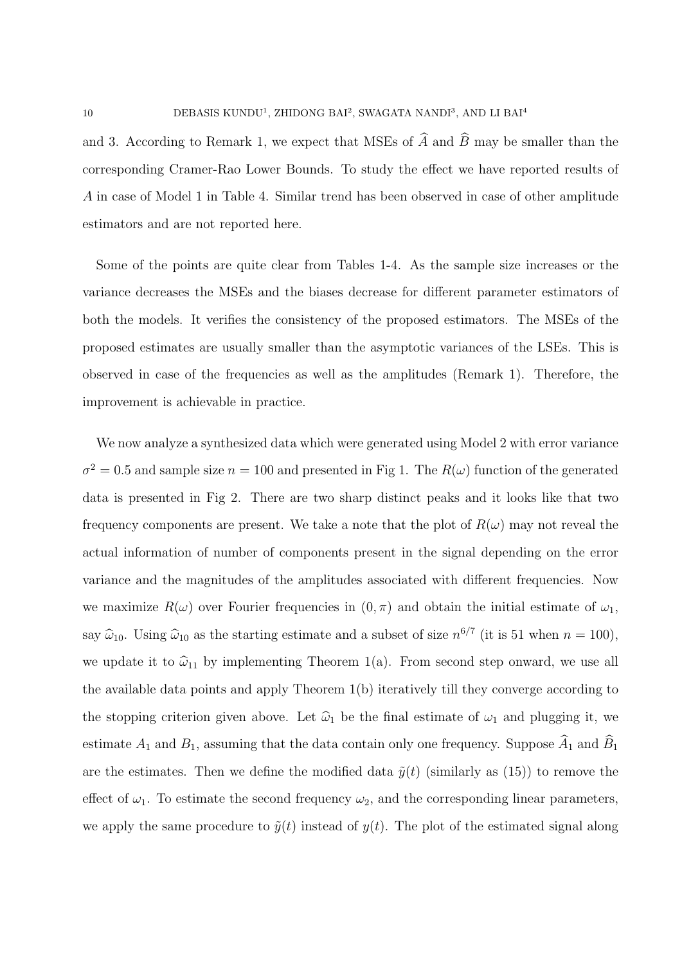and 3. According to Remark 1, we expect that MSEs of  $\widehat{A}$  and  $\widehat{B}$  may be smaller than the corresponding Cramer-Rao Lower Bounds. To study the effect we have reported results of *A* in case of Model 1 in Table 4. Similar trend has been observed in case of other amplitude estimators and are not reported here.

Some of the points are quite clear from Tables 1-4. As the sample size increases or the variance decreases the MSEs and the biases decrease for different parameter estimators of both the models. It verifies the consistency of the proposed estimators. The MSEs of the proposed estimates are usually smaller than the asymptotic variances of the LSEs. This is observed in case of the frequencies as well as the amplitudes (Remark 1). Therefore, the improvement is achievable in practice.

We now analyze a synthesized data which were generated using Model 2 with error variance  $\sigma^2 = 0.5$  and sample size  $n = 100$  and presented in Fig 1. The  $R(\omega)$  function of the generated data is presented in Fig 2. There are two sharp distinct peaks and it looks like that two frequency components are present. We take a note that the plot of  $R(\omega)$  may not reveal the actual information of number of components present in the signal depending on the error variance and the magnitudes of the amplitudes associated with different frequencies. Now we maximize  $R(\omega)$  over Fourier frequencies in  $(0, \pi)$  and obtain the initial estimate of  $\omega_1$ , say  $\hat{\omega}_{10}$ . Using  $\hat{\omega}_{10}$  as the starting estimate and a subset of size  $n^{6/7}$  (it is 51 when  $n = 100$ ), we update it to  $\hat{\omega}_{11}$  by implementing Theorem 1(a). From second step onward, we use all the available data points and apply Theorem 1(b) iteratively till they converge according to the stopping criterion given above. Let  $\hat{\omega}_1$  be the final estimate of  $\omega_1$  and plugging it, we estimate  $A_1$  and  $B_1$ , assuming that the data contain only one frequency. Suppose  $\widehat{A}_1$  and  $\widehat{B}_1$ are the estimates. Then we define the modified data  $\tilde{y}(t)$  (similarly as (15)) to remove the effect of  $\omega_1$ . To estimate the second frequency  $\omega_2$ , and the corresponding linear parameters, we apply the same procedure to  $\tilde{y}(t)$  instead of  $y(t)$ . The plot of the estimated signal along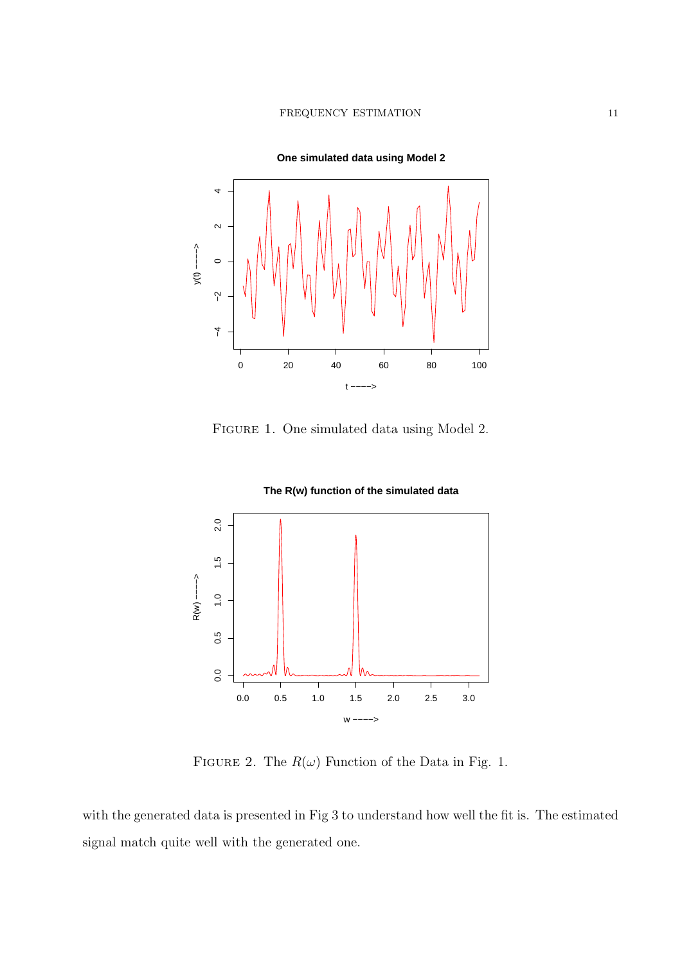

FIGURE 1. One simulated data using Model 2.





FIGURE 2. The  $R(\omega)$  Function of the Data in Fig. 1.

with the generated data is presented in Fig 3 to understand how well the fit is. The estimated signal match quite well with the generated one.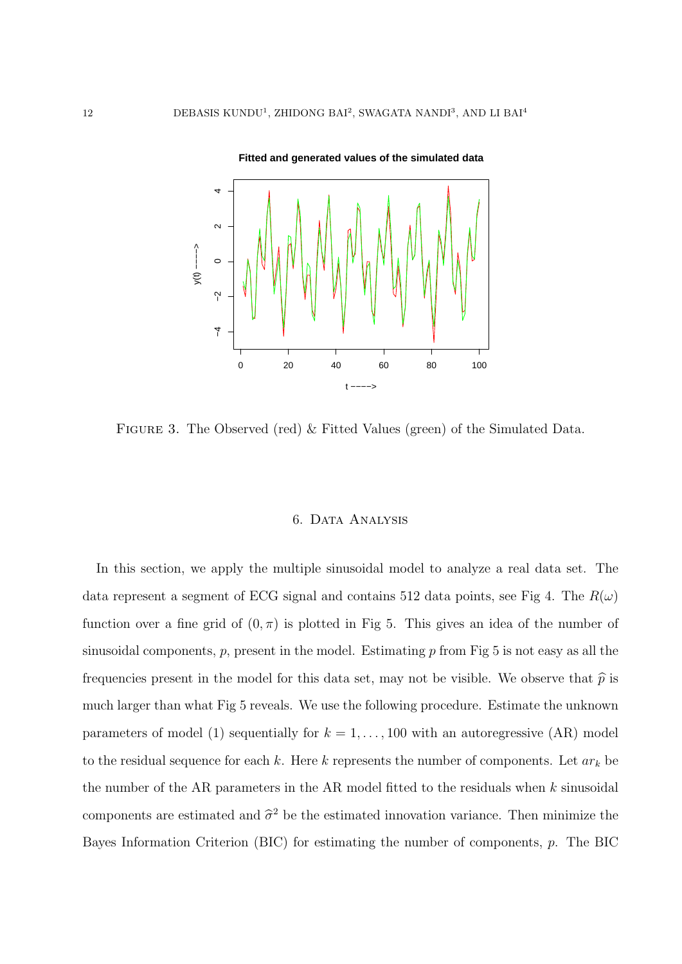

Figure 3. The Observed (red) & Fitted Values (green) of the Simulated Data.

# 6. Data Analysis

In this section, we apply the multiple sinusoidal model to analyze a real data set. The data represent a segment of ECG signal and contains 512 data points, see Fig 4. The  $R(\omega)$ function over a fine grid of  $(0, \pi)$  is plotted in Fig 5. This gives an idea of the number of sinusoidal components, *p*, present in the model. Estimating *p* from Fig 5 is not easy as all the frequencies present in the model for this data set, may not be visible. We observe that  $\hat{p}$  is much larger than what Fig 5 reveals. We use the following procedure. Estimate the unknown parameters of model (1) sequentially for  $k = 1, \ldots, 100$  with an autoregressive (AR) model to the residual sequence for each *k*. Here *k* represents the number of components. Let *ar<sup>k</sup>* be the number of the AR parameters in the AR model fitted to the residuals when *k* sinusoidal components are estimated and  $\hat{\sigma}^2$  be the estimated innovation variance. Then minimize the Bayes Information Criterion (BIC) for estimating the number of components, *p*. The BIC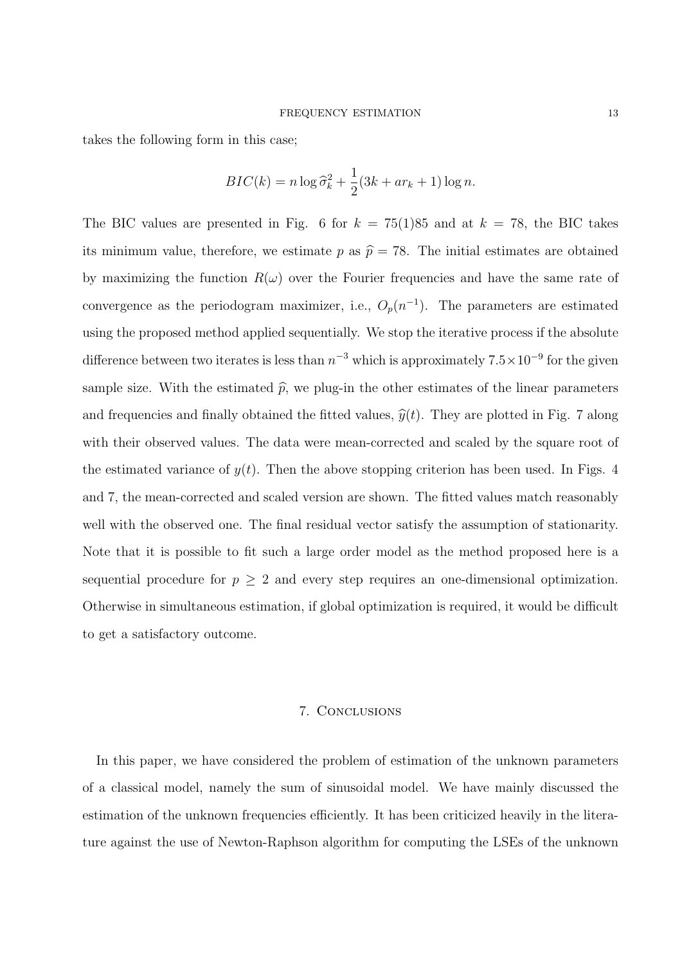takes the following form in this case;

$$
BIC(k) = n \log \widehat{\sigma}_k^2 + \frac{1}{2} (3k + ar_k + 1) \log n.
$$

The BIC values are presented in Fig. 6 for  $k = 75(1)85$  and at  $k = 78$ , the BIC takes its minimum value, therefore, we estimate  $p$  as  $\hat{p} = 78$ . The initial estimates are obtained by maximizing the function  $R(\omega)$  over the Fourier frequencies and have the same rate of convergence as the periodogram maximizer, i.e.,  $O_p(n^{-1})$ . The parameters are estimated using the proposed method applied sequentially. We stop the iterative process if the absolute difference between two iterates is less than  $n^{-3}$  which is approximately  $7.5 \times 10^{-9}$  for the given sample size. With the estimated  $\hat{p}$ , we plug-in the other estimates of the linear parameters and frequencies and finally obtained the fitted values,  $\hat{y}(t)$ . They are plotted in Fig. 7 along with their observed values. The data were mean-corrected and scaled by the square root of the estimated variance of  $y(t)$ . Then the above stopping criterion has been used. In Figs. 4 and 7, the mean-corrected and scaled version are shown. The fitted values match reasonably well with the observed one. The final residual vector satisfy the assumption of stationarity. Note that it is possible to fit such a large order model as the method proposed here is a sequential procedure for  $p \geq 2$  and every step requires an one-dimensional optimization. Otherwise in simultaneous estimation, if global optimization is required, it would be difficult to get a satisfactory outcome.

#### 7. Conclusions

In this paper, we have considered the problem of estimation of the unknown parameters of a classical model, namely the sum of sinusoidal model. We have mainly discussed the estimation of the unknown frequencies efficiently. It has been criticized heavily in the literature against the use of Newton-Raphson algorithm for computing the LSEs of the unknown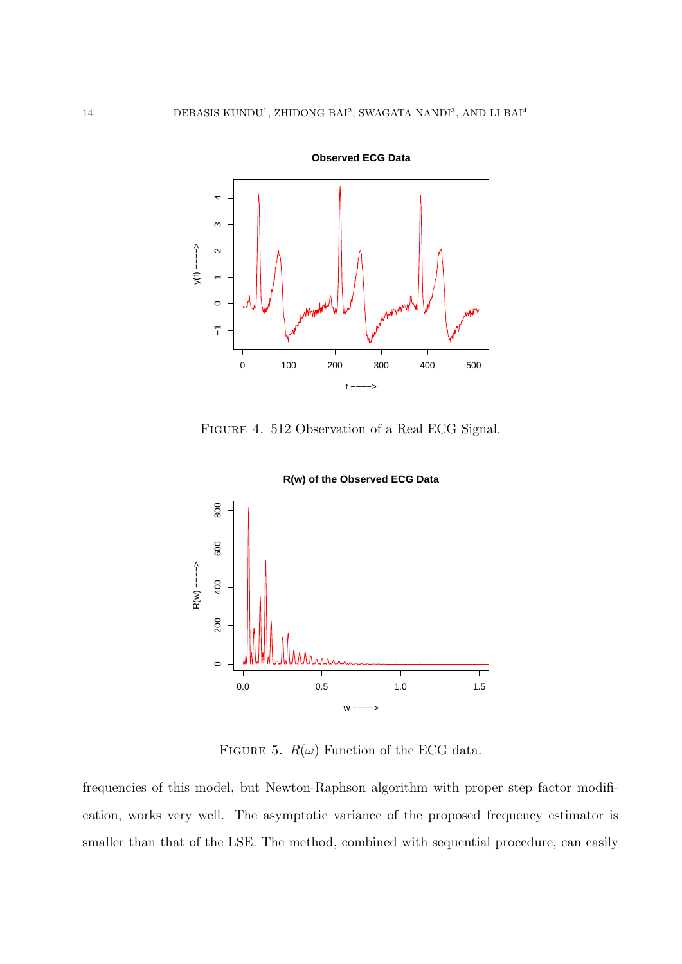

**Observed ECG Data**

Figure 4. 512 Observation of a Real ECG Signal.



**R(w) of the Observed ECG Data**

FIGURE 5.  $R(\omega)$  Function of the ECG data.

frequencies of this model, but Newton-Raphson algorithm with proper step factor modification, works very well. The asymptotic variance of the proposed frequency estimator is smaller than that of the LSE. The method, combined with sequential procedure, can easily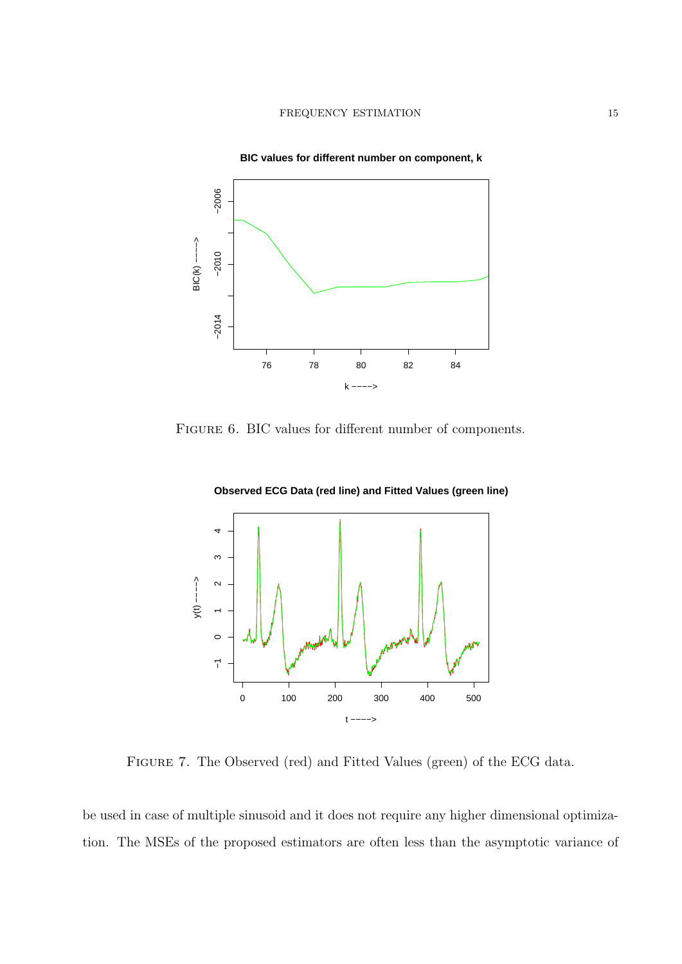

FIGURE 6. BIC values for different number of components.





Figure 7. The Observed (red) and Fitted Values (green) of the ECG data.

be used in case of multiple sinusoid and it does not require any higher dimensional optimization. The MSEs of the proposed estimators are often less than the asymptotic variance of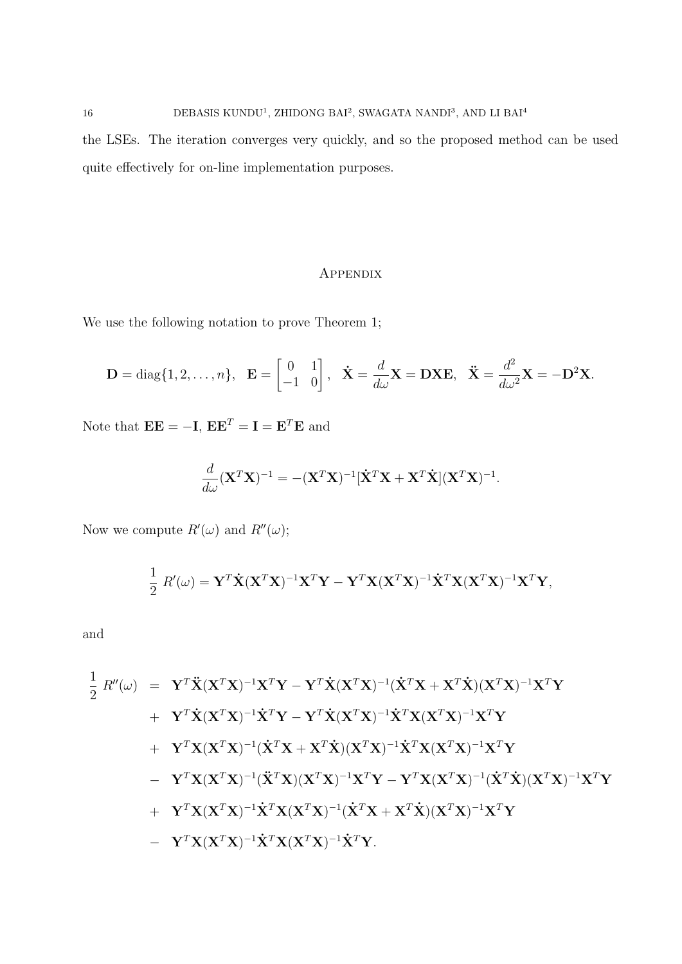16 DEBASIS KUNDU<sup>1</sup>, ZHIDONG BAI<sup>2</sup>, SWAGATA NANDI<sup>3</sup>, AND LI BAI<sup>4</sup> the LSEs. The iteration converges very quickly, and so the proposed method can be used quite effectively for on-line implementation purposes.

# Appendix

We use the following notation to prove Theorem 1;

$$
\mathbf{D} = \text{diag}\{1, 2, \dots, n\}, \quad \mathbf{E} = \begin{bmatrix} 0 & 1 \\ -1 & 0 \end{bmatrix}, \quad \dot{\mathbf{X}} = \frac{d}{d\omega}\mathbf{X} = \mathbf{D}\mathbf{X}\mathbf{E}, \quad \ddot{\mathbf{X}} = \frac{d^2}{d\omega^2}\mathbf{X} = -\mathbf{D}^2\mathbf{X}.
$$

Note that  $\mathbf{EE} = -\mathbf{I}$ ,  $\mathbf{EE}^T = \mathbf{I} = \mathbf{E}^T \mathbf{E}$  and

$$
\frac{d}{d\omega}(\mathbf{X}^T\mathbf{X})^{-1} = -(\mathbf{X}^T\mathbf{X})^{-1}[\dot{\mathbf{X}}^T\mathbf{X} + \mathbf{X}^T\dot{\mathbf{X}}](\mathbf{X}^T\mathbf{X})^{-1}.
$$

Now we compute  $R'(\omega)$  and  $R''(\omega)$ ;

$$
\frac{1}{2} R'(\omega) = \mathbf{Y}^T \dot{\mathbf{X}} (\mathbf{X}^T \mathbf{X})^{-1} \mathbf{X}^T \mathbf{Y} - \mathbf{Y}^T \mathbf{X} (\mathbf{X}^T \mathbf{X})^{-1} \dot{\mathbf{X}}^T \mathbf{X} (\mathbf{X}^T \mathbf{X})^{-1} \mathbf{X}^T \mathbf{Y},
$$

and

$$
\begin{array}{lll} \frac{1}{2} \ R''(\omega) & = & \mathbf{Y}^T \ddot{\mathbf{X}} (\mathbf{X}^T \mathbf{X})^{-1} \mathbf{X}^T \mathbf{Y} - \mathbf{Y}^T \dot{\mathbf{X}} (\mathbf{X}^T \mathbf{X})^{-1} (\dot{\mathbf{X}}^T \mathbf{X} + \mathbf{X}^T \dot{\mathbf{X}}) (\mathbf{X}^T \mathbf{X})^{-1} \mathbf{X}^T \mathbf{Y} \\ & & + & \mathbf{Y}^T \dot{\mathbf{X}} (\mathbf{X}^T \mathbf{X})^{-1} \dot{\mathbf{X}}^T \mathbf{Y} - \mathbf{Y}^T \dot{\mathbf{X}} (\mathbf{X}^T \mathbf{X})^{-1} \dot{\mathbf{X}}^T \mathbf{X} (\mathbf{X}^T \mathbf{X})^{-1} \mathbf{X}^T \mathbf{Y} \\ & & + & \mathbf{Y}^T \mathbf{X} (\mathbf{X}^T \mathbf{X})^{-1} (\dot{\mathbf{X}}^T \mathbf{X} + \mathbf{X}^T \dot{\mathbf{X}}) (\mathbf{X}^T \mathbf{X})^{-1} \dot{\mathbf{X}}^T \mathbf{X} (\mathbf{X}^T \mathbf{X})^{-1} \mathbf{X}^T \mathbf{Y} \\ & - & \mathbf{Y}^T \mathbf{X} (\mathbf{X}^T \mathbf{X})^{-1} (\ddot{\mathbf{X}}^T \mathbf{X}) (\mathbf{X}^T \mathbf{X})^{-1} \mathbf{X}^T \mathbf{Y} - \mathbf{Y}^T \mathbf{X} (\mathbf{X}^T \mathbf{X})^{-1} (\dot{\mathbf{X}}^T \mathbf{X} + \mathbf{X}^T \dot{\mathbf{X}}) (\mathbf{X}^T \mathbf{X})^{-1} \mathbf{X}^T \mathbf{Y} \\ & & + & \mathbf{Y}^T \mathbf{X} (\mathbf{X}^T \mathbf{X})^{-1} \dot{\mathbf{X}}^T \mathbf{X} (\mathbf{X}^T \mathbf{X})^{-1} (\dot{\mathbf{X}}^T \mathbf{X} + \mathbf{X}^T \dot{\mathbf{X}}) (\mathbf{X}^T \mathbf{X})^{-1} \mathbf{X}^T \mathbf{Y} \\ & & - & \
$$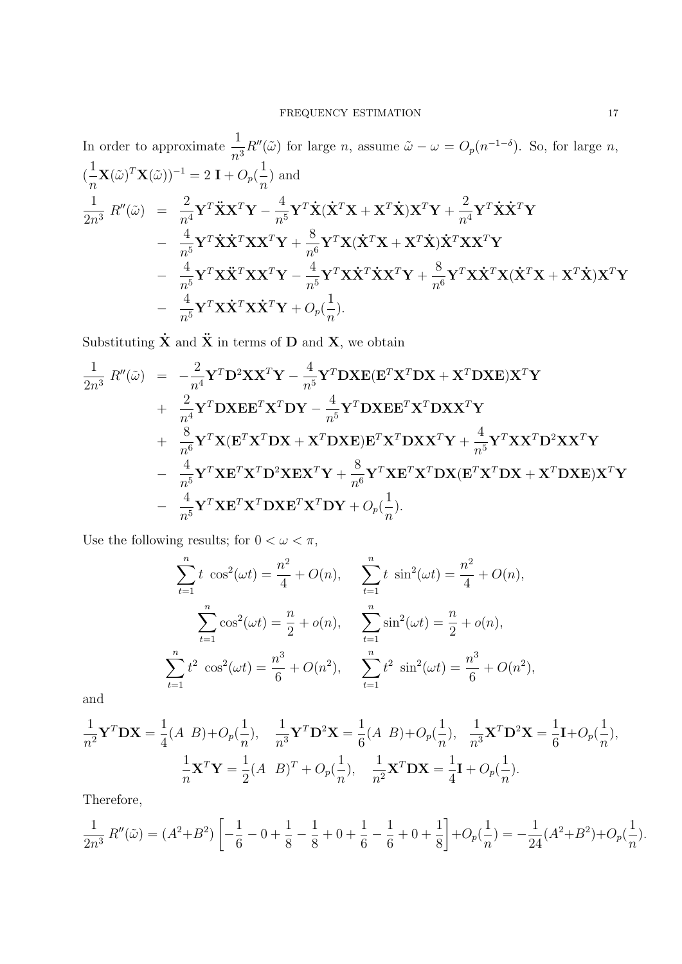In order to approximate 
$$
\frac{1}{n^3}R''(\tilde{\omega})
$$
 for large *n*, assume  $\tilde{\omega} - \omega = O_p(n^{-1-\delta})$ . So, for large *n*,  
\n $(\frac{1}{n}\mathbf{X}(\tilde{\omega})^T\mathbf{X}(\tilde{\omega}))^{-1} = 2 \mathbf{I} + O_p(\frac{1}{n})$  and  
\n $\frac{1}{2n^3} R''(\tilde{\omega}) = \frac{2}{n^4}\mathbf{Y}^T\ddot{\mathbf{X}}\mathbf{X}^T\mathbf{Y} - \frac{4}{n^5}\mathbf{Y}^T\dot{\mathbf{X}}(\dot{\mathbf{X}}^T\mathbf{X} + \mathbf{X}^T\dot{\mathbf{X}})\mathbf{X}^T\mathbf{Y} + \frac{2}{n^4}\mathbf{Y}^T\dot{\mathbf{X}}\dot{\mathbf{X}}^T\mathbf{Y}$   
\n $- \frac{4}{n^5}\mathbf{Y}^T\dot{\mathbf{X}}\dot{\mathbf{X}}^T\mathbf{X}\mathbf{X}^T\mathbf{Y} + \frac{8}{n^6}\mathbf{Y}^T\mathbf{X}(\dot{\mathbf{X}}^T\mathbf{X} + \mathbf{X}^T\dot{\mathbf{X}})\dot{\mathbf{X}}^T\mathbf{X}\mathbf{X}^T\mathbf{Y}$   
\n $- \frac{4}{n^5}\mathbf{Y}^T\mathbf{X}\ddot{\mathbf{X}}^T\mathbf{X}\mathbf{X}^T\mathbf{Y} - \frac{4}{n^5}\mathbf{Y}^T\mathbf{X}\dot{\mathbf{X}}^T\dot{\mathbf{X}}\mathbf{X}^T\mathbf{Y} + \frac{8}{n^6}\mathbf{Y}^T\mathbf{X}\dot{\mathbf{X}}^T\mathbf{X}(\dot{\mathbf{X}}^T\mathbf{X} + \mathbf{X}^T\dot{\mathbf{X}})\mathbf{X}^T\mathbf{Y}$   
\n $- \frac{4}{n^5}\mathbf{Y}^T\mathbf{X}\dot{\mathbf{X}}^T\mathbf{X}\dot{\mathbf{X}}^T\mathbf{Y} + O_p(\frac{1}{n}).$ 

Substituting  $\dot{\mathbf{X}}$  and  $\ddot{\mathbf{X}}$  in terms of **D** and **X**, we obtain

$$
\frac{1}{2n^3} R''(\tilde{\omega}) = -\frac{2}{n^4} \mathbf{Y}^T \mathbf{D}^2 \mathbf{X} \mathbf{X}^T \mathbf{Y} - \frac{4}{n^5} \mathbf{Y}^T \mathbf{D} \mathbf{X} \mathbf{E} (\mathbf{E}^T \mathbf{X}^T \mathbf{D} \mathbf{X} + \mathbf{X}^T \mathbf{D} \mathbf{X} \mathbf{E}) \mathbf{X}^T \mathbf{Y} \n+ \frac{2}{n^4} \mathbf{Y}^T \mathbf{D} \mathbf{X} \mathbf{E} \mathbf{E}^T \mathbf{X}^T \mathbf{D} \mathbf{Y} - \frac{4}{n^5} \mathbf{Y}^T \mathbf{D} \mathbf{X} \mathbf{E} \mathbf{E}^T \mathbf{X}^T \mathbf{D} \mathbf{X} \mathbf{X}^T \mathbf{Y} \n+ \frac{8}{n^6} \mathbf{Y}^T \mathbf{X} (\mathbf{E}^T \mathbf{X}^T \mathbf{D} \mathbf{X} + \mathbf{X}^T \mathbf{D} \mathbf{X} \mathbf{E}) \mathbf{E}^T \mathbf{X}^T \mathbf{D} \mathbf{X} \mathbf{X}^T \mathbf{Y} + \frac{4}{n^5} \mathbf{Y}^T \mathbf{X} \mathbf{X}^T \mathbf{D}^2 \mathbf{X} \mathbf{X}^T \mathbf{Y} \n- \frac{4}{n^5} \mathbf{Y}^T \mathbf{X} \mathbf{E}^T \mathbf{X}^T \mathbf{D} \mathbf{X} \mathbf{E}^T \mathbf{X}^T \mathbf{D} \mathbf{Y} + O_p(\frac{1}{n}).
$$

Use the following results; for  $0<\omega<\pi,$ 

$$
\sum_{t=1}^{n} t \cos^{2}(\omega t) = \frac{n^{2}}{4} + O(n), \qquad \sum_{t=1}^{n} t \sin^{2}(\omega t) = \frac{n^{2}}{4} + O(n),
$$

$$
\sum_{t=1}^{n} \cos^{2}(\omega t) = \frac{n}{2} + o(n), \qquad \sum_{t=1}^{n} \sin^{2}(\omega t) = \frac{n}{2} + o(n),
$$

$$
\sum_{t=1}^{n} t^{2} \cos^{2}(\omega t) = \frac{n^{3}}{6} + O(n^{2}), \qquad \sum_{t=1}^{n} t^{2} \sin^{2}(\omega t) = \frac{n^{3}}{6} + O(n^{2}),
$$

and

$$
\frac{1}{n^2} \mathbf{Y}^T \mathbf{D} \mathbf{X} = \frac{1}{4} (A \ B) + O_p(\frac{1}{n}), \quad \frac{1}{n^3} \mathbf{Y}^T \mathbf{D}^2 \mathbf{X} = \frac{1}{6} (A \ B) + O_p(\frac{1}{n}), \quad \frac{1}{n^3} \mathbf{X}^T \mathbf{D}^2 \mathbf{X} = \frac{1}{6} \mathbf{I} + O_p(\frac{1}{n}),
$$

$$
\frac{1}{n} \mathbf{X}^T \mathbf{Y} = \frac{1}{2} (A \ B)^T + O_p(\frac{1}{n}), \quad \frac{1}{n^2} \mathbf{X}^T \mathbf{D} \mathbf{X} = \frac{1}{4} \mathbf{I} + O_p(\frac{1}{n}).
$$

Therefore,

$$
\frac{1}{2n^3} R''(\tilde{\omega}) = (A^2 + B^2) \left[ -\frac{1}{6} - 0 + \frac{1}{8} - \frac{1}{8} + 0 + \frac{1}{6} - \frac{1}{6} + 0 + \frac{1}{8} \right] + O_p(\frac{1}{n}) = -\frac{1}{24} (A^2 + B^2) + O_p(\frac{1}{n}).
$$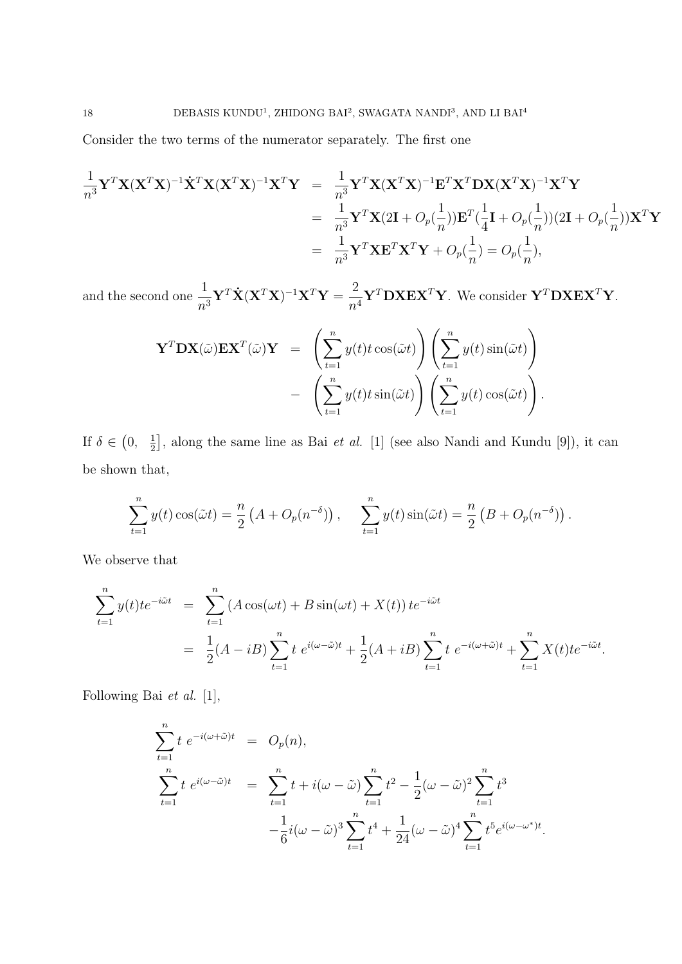Consider the two terms of the numerator separately. The first one

$$
\frac{1}{n^3} \mathbf{Y}^T \mathbf{X} (\mathbf{X}^T \mathbf{X})^{-1} \dot{\mathbf{X}}^T \mathbf{X} (\mathbf{X}^T \mathbf{X})^{-1} \mathbf{X}^T \mathbf{Y} = \frac{1}{n^3} \mathbf{Y}^T \mathbf{X} (\mathbf{X}^T \mathbf{X})^{-1} \mathbf{E}^T \mathbf{X}^T \mathbf{D} \mathbf{X} (\mathbf{X}^T \mathbf{X})^{-1} \mathbf{X}^T \mathbf{Y}
$$
  
\n
$$
= \frac{1}{n^3} \mathbf{Y}^T \mathbf{X} (2\mathbf{I} + O_p(\frac{1}{n})) \mathbf{E}^T (\frac{1}{4} \mathbf{I} + O_p(\frac{1}{n})) (2\mathbf{I} + O_p(\frac{1}{n})) \mathbf{X}^T \mathbf{Y}
$$
  
\n
$$
= \frac{1}{n^3} \mathbf{Y}^T \mathbf{X} \mathbf{E}^T \mathbf{X}^T \mathbf{Y} + O_p(\frac{1}{n}) = O_p(\frac{1}{n}),
$$

and the second one  $\frac{1}{n^3} \mathbf{Y}^T \dot{\mathbf{X}} (\mathbf{X}^T \mathbf{X})^{-1} \mathbf{X}^T \mathbf{Y} = \frac{2}{n^4} \mathbf{Y}^T \mathbf{D} \mathbf{X} \mathbf{E} \mathbf{X}^T \mathbf{Y}$ . We consider  $\mathbf{Y}^T \mathbf{D} \mathbf{X} \mathbf{E} \mathbf{X}^T \mathbf{Y}$ .

$$
\mathbf{Y}^T \mathbf{D} \mathbf{X}(\tilde{\omega}) \mathbf{E} \mathbf{X}^T(\tilde{\omega}) \mathbf{Y} = \left( \sum_{t=1}^n y(t) t \cos(\tilde{\omega} t) \right) \left( \sum_{t=1}^n y(t) \sin(\tilde{\omega} t) \right) - \left( \sum_{t=1}^n y(t) t \sin(\tilde{\omega} t) \right) \left( \sum_{t=1}^n y(t) \cos(\tilde{\omega} t) \right).
$$

If  $\delta \in (0, \frac{1}{2})$  $\frac{1}{2}$ , along the same line as Bai *et al.* [1] (see also Nandi and Kundu [9]), it can be shown that,

$$
\sum_{t=1}^{n} y(t) \cos(\tilde{\omega}t) = \frac{n}{2} \left( A + O_p(n^{-\delta}) \right), \quad \sum_{t=1}^{n} y(t) \sin(\tilde{\omega}t) = \frac{n}{2} \left( B + O_p(n^{-\delta}) \right).
$$

We observe that

$$
\sum_{t=1}^{n} y(t)te^{-i\tilde{\omega}t} = \sum_{t=1}^{n} (A\cos(\omega t) + B\sin(\omega t) + X(t))te^{-i\tilde{\omega}t}
$$
  

$$
= \frac{1}{2}(A - iB)\sum_{t=1}^{n} t e^{i(\omega - \tilde{\omega})t} + \frac{1}{2}(A + iB)\sum_{t=1}^{n} t e^{-i(\omega + \tilde{\omega})t} + \sum_{t=1}^{n} X(t)te^{-i\tilde{\omega}t}.
$$

Following Bai *et al.* [1],

$$
\sum_{t=1}^{n} t e^{-i(\omega + \tilde{\omega})t} = O_p(n),
$$
\n
$$
\sum_{t=1}^{n} t e^{i(\omega - \tilde{\omega})t} = \sum_{t=1}^{n} t + i(\omega - \tilde{\omega}) \sum_{t=1}^{n} t^2 - \frac{1}{2} (\omega - \tilde{\omega})^2 \sum_{t=1}^{n} t^3
$$
\n
$$
-\frac{1}{6} i(\omega - \tilde{\omega})^3 \sum_{t=1}^{n} t^4 + \frac{1}{24} (\omega - \tilde{\omega})^4 \sum_{t=1}^{n} t^5 e^{i(\omega - \omega^*)t}.
$$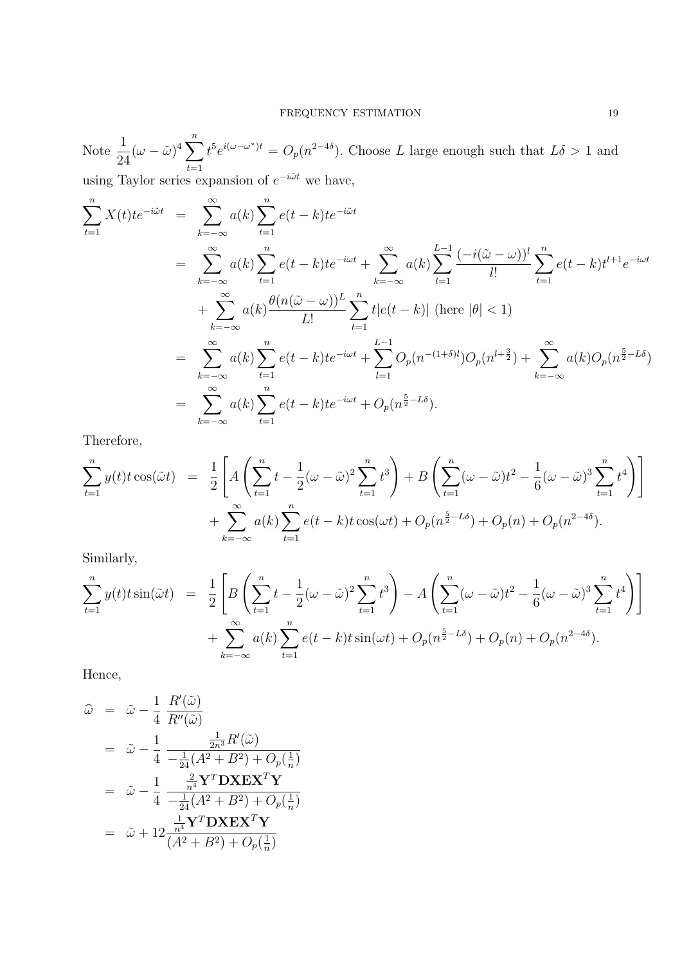Note  $\frac{1}{2}$  $\frac{1}{24}(\omega - \tilde{\omega})^4 \sum_{i=1}^n$ *t*=1  $t^5 e^{i(\omega - \omega^*)t} = O_p(n^{2-4\delta})$ . Choose *L* large enough such that  $L\delta > 1$  and

using Taylor series expansion of *e <sup>−</sup>iωt* ˜ we have,

$$
\sum_{t=1}^{n} X(t)te^{-i\tilde{\omega}t} = \sum_{k=-\infty}^{\infty} a(k) \sum_{t=1}^{n} e(t-k)te^{-i\tilde{\omega}t} \n= \sum_{k=-\infty}^{\infty} a(k) \sum_{t=1}^{n} e(t-k)te^{-i\omega t} + \sum_{k=-\infty}^{\infty} a(k) \sum_{l=1}^{L-1} \frac{(-i(\tilde{\omega} - \omega))^{l}}{l!} \sum_{t=1}^{n} e(t-k)t^{l+1}e^{-i\omega t} \n+ \sum_{k=-\infty}^{\infty} a(k) \frac{\theta(n(\tilde{\omega} - \omega))^{L}}{L!} \sum_{t=1}^{n} t|e(t-k)| \text{ (here } |\theta| < 1) \n= \sum_{k=-\infty}^{\infty} a(k) \sum_{t=1}^{n} e(t-k)te^{-i\omega t} + \sum_{l=1}^{L-1} O_{p}(n^{-(1+\delta)l})O_{p}(n^{l+\frac{3}{2}}) + \sum_{k=-\infty}^{\infty} a(k)O_{p}(n^{\frac{5}{2}-L\delta}) \n= \sum_{k=-\infty}^{\infty} a(k) \sum_{t=1}^{n} e(t-k)te^{-i\omega t} + O_{p}(n^{\frac{5}{2}-L\delta}).
$$

Therefore,

$$
\sum_{t=1}^{n} y(t) t \cos(\tilde{\omega} t) = \frac{1}{2} \left[ A \left( \sum_{t=1}^{n} t - \frac{1}{2} (\omega - \tilde{\omega})^2 \sum_{t=1}^{n} t^3 \right) + B \left( \sum_{t=1}^{n} (\omega - \tilde{\omega}) t^2 - \frac{1}{6} (\omega - \tilde{\omega})^3 \sum_{t=1}^{n} t^4 \right) \right] + \sum_{k=-\infty}^{\infty} a(k) \sum_{t=1}^{n} e(t-k) t \cos(\omega t) + O_p(n^{\frac{5}{2} - L\delta}) + O_p(n) + O_p(n^{2-4\delta}).
$$

Similarly,

$$
\sum_{t=1}^{n} y(t) t \sin(\tilde{\omega} t) = \frac{1}{2} \left[ B \left( \sum_{t=1}^{n} t - \frac{1}{2} (\omega - \tilde{\omega})^2 \sum_{t=1}^{n} t^3 \right) - A \left( \sum_{t=1}^{n} (\omega - \tilde{\omega}) t^2 - \frac{1}{6} (\omega - \tilde{\omega})^3 \sum_{t=1}^{n} t^4 \right) \right] + \sum_{k=-\infty}^{\infty} a(k) \sum_{t=1}^{n} e(t-k) t \sin(\omega t) + O_p(n^{\frac{5}{2}-L\delta}) + O_p(n) + O_p(n^{2-4\delta}).
$$

Hence,

$$
\hat{\omega} = \tilde{\omega} - \frac{1}{4} \frac{R'(\tilde{\omega})}{R''(\tilde{\omega})}
$$
\n
$$
= \tilde{\omega} - \frac{1}{4} \frac{\frac{1}{2n^3} R'(\tilde{\omega})}{-\frac{1}{24} (A^2 + B^2) + O_p(\frac{1}{n})}
$$
\n
$$
= \tilde{\omega} - \frac{1}{4} \frac{\frac{2}{n^4} \mathbf{Y}^T \mathbf{D} \mathbf{X} \mathbf{E} \mathbf{X}^T \mathbf{Y}}{-\frac{1}{24} (A^2 + B^2) + O_p(\frac{1}{n})}
$$
\n
$$
= \tilde{\omega} + 12 \frac{\frac{1}{n^4} \mathbf{Y}^T \mathbf{D} \mathbf{X} \mathbf{E} \mathbf{X}^T \mathbf{Y}}{(A^2 + B^2) + O_p(\frac{1}{n})}
$$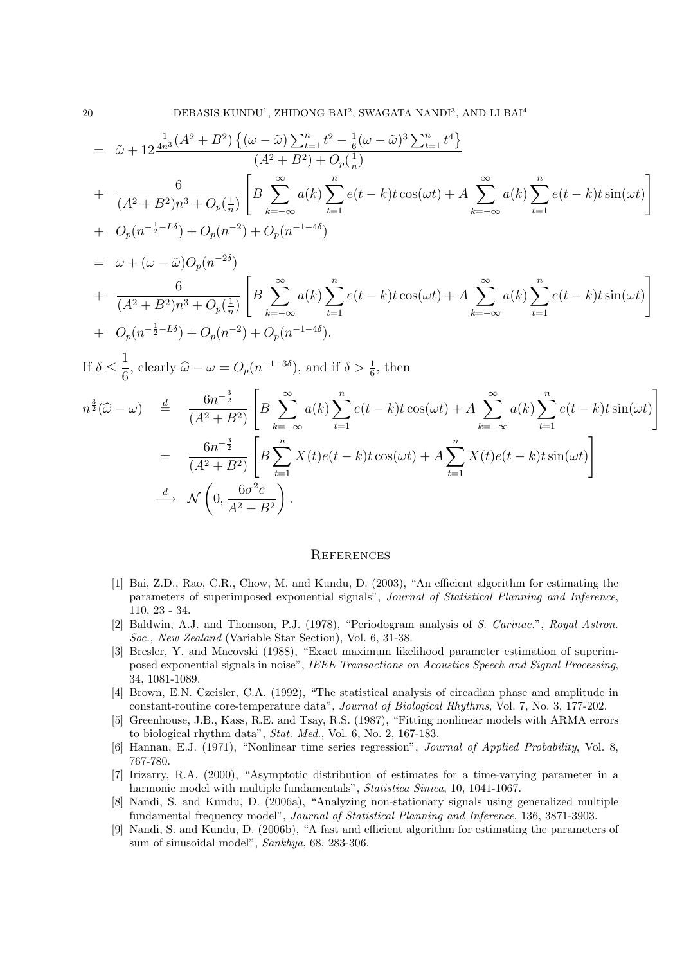$$
= \tilde{\omega} + 12 \frac{\frac{1}{4n^3} (A^2 + B^2) \{ (\omega - \tilde{\omega}) \sum_{t=1}^n t^2 - \frac{1}{6} (\omega - \tilde{\omega})^3 \sum_{t=1}^n t^4 \}}{(A^2 + B^2) + O_p(\frac{1}{n})}
$$
  
+ 
$$
\frac{6}{(A^2 + B^2)n^3 + O_p(\frac{1}{n})} \left[ B \sum_{k=-\infty}^{\infty} a(k) \sum_{t=1}^n e(t-k) t \cos(\omega t) + A \sum_{k=-\infty}^{\infty} a(k) \sum_{t=1}^n e(t-k) t \sin(\omega t) \right]
$$
  
+ 
$$
O_p(n^{-\frac{1}{2} - L\delta}) + O_p(n^{-2}) + O_p(n^{-1-4\delta})
$$

$$
= \omega + (\omega - \tilde{\omega})O_p(n^{-2\delta})
$$
  
+ 
$$
\frac{6}{(A^2 + B^2)n^3 + O_p(\frac{1}{n})} \left[ B \sum_{k=-\infty}^{\infty} a(k) \sum_{t=1}^n e(t-k)t \cos(\omega t) + A \sum_{k=-\infty}^{\infty} a(k) \sum_{t=1}^n e(t-k)t \sin(\omega t) \right]
$$
  
+ 
$$
O_p(n^{-\frac{1}{2}-L\delta}) + O_p(n^{-2}) + O_p(n^{-1-4\delta}).
$$

If 
$$
\delta \leq \frac{1}{6}
$$
, clearly  $\hat{\omega} - \omega = O_p(n^{-1-3\delta})$ , and if  $\delta > \frac{1}{6}$ , then  
\n
$$
n^{\frac{3}{2}}(\hat{\omega} - \omega) \stackrel{d}{=} \frac{6n^{-\frac{3}{2}}}{(A^2 + B^2)} \left[ B \sum_{k=-\infty}^{\infty} a(k) \sum_{t=1}^n e(t-k)t \cos(\omega t) + A \sum_{k=-\infty}^{\infty} a(k) \sum_{t=1}^n e(t-k)t \sin(\omega t) \right]
$$
\n
$$
= \frac{6n^{-\frac{3}{2}}}{(A^2 + B^2)} \left[ B \sum_{t=1}^n X(t)e(t-k)t \cos(\omega t) + A \sum_{t=1}^n X(t)e(t-k)t \sin(\omega t) \right]
$$
\n
$$
\stackrel{d}{\longrightarrow} \mathcal{N}\left(0, \frac{6\sigma^2 c}{A^2 + B^2}\right).
$$

#### **REFERENCES**

- [1] Bai, Z.D., Rao, C.R., Chow, M. and Kundu, D. (2003), "An efficient algorithm for estimating the parameters of superimposed exponential signals", *Journal of Statistical Planning and Inference*, 110, 23 - 34.
- [2] Baldwin, A.J. and Thomson, P.J. (1978), "Periodogram analysis of *S. Carinae.*", *Royal Astron. Soc., New Zealand* (Variable Star Section), Vol. 6, 31-38.
- [3] Bresler, Y. and Macovski (1988), "Exact maximum likelihood parameter estimation of superimposed exponential signals in noise", *IEEE Transactions on Acoustics Speech and Signal Processing*, 34, 1081-1089.
- [4] Brown, E.N. Czeisler, C.A. (1992), "The statistical analysis of circadian phase and amplitude in constant-routine core-temperature data", *Journal of Biological Rhythms*, Vol. 7, No. 3, 177-202.
- [5] Greenhouse, J.B., Kass, R.E. and Tsay, R.S. (1987), "Fitting nonlinear models with ARMA errors to biological rhythm data", *Stat. Med.*, Vol. 6, No. 2, 167-183.
- [6] Hannan, E.J. (1971), "Nonlinear time series regression", *Journal of Applied Probability*, Vol. 8, 767-780.
- [7] Irizarry, R.A. (2000), "Asymptotic distribution of estimates for a time-varying parameter in a harmonic model with multiple fundamentals", *Statistica Sinica*, 10, 1041-1067.
- [8] Nandi, S. and Kundu, D. (2006a), "Analyzing non-stationary signals using generalized multiple fundamental frequency model", *Journal of Statistical Planning and Inference*, 136, 3871-3903.
- [9] Nandi, S. and Kundu, D. (2006b), "A fast and efficient algorithm for estimating the parameters of sum of sinusoidal model", *Sankhya*, 68, 283-306.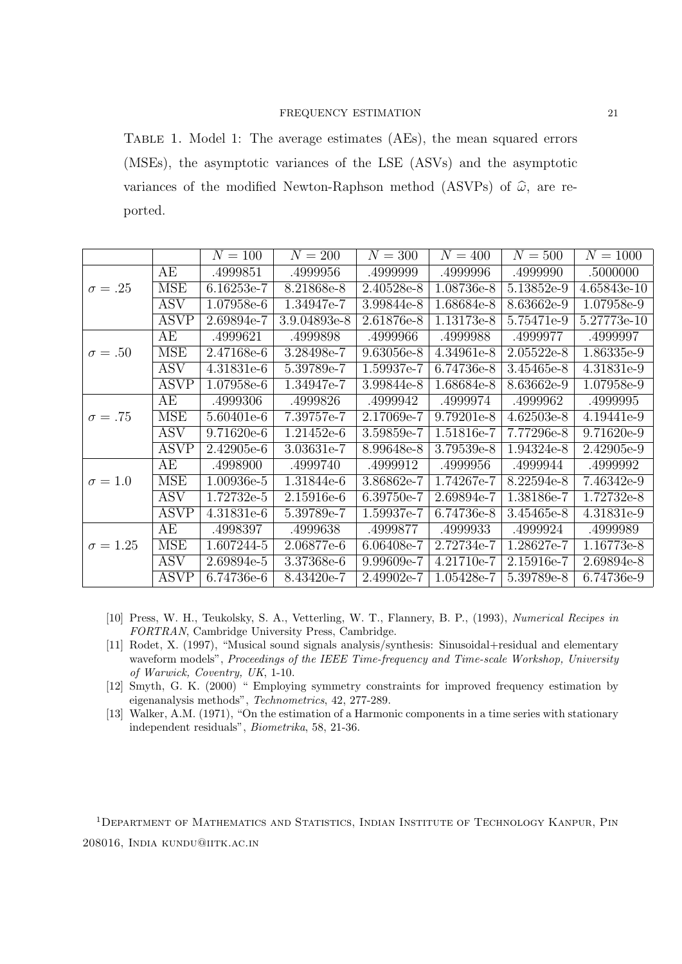## FREQUENCY ESTIMATION 21

Table 1. Model 1: The average estimates (AEs), the mean squared errors (MSEs), the asymptotic variances of the LSE (ASVs) and the asymptotic variances of the modified Newton-Raphson method (ASVPs) of  $\hat{\omega}$ , are reported.

|                 |             | $N = 100$    | $N = 200$      | $N=300$      | $N = 400$  | $N = 500$    | $N = 1000$  |
|-----------------|-------------|--------------|----------------|--------------|------------|--------------|-------------|
|                 | AE          | .4999851     | .4999956       | .4999999     | .4999996   | .4999990     | .5000000    |
| $\sigma = .25$  | <b>MSE</b>  | $6.16253e-7$ | 8.21868e-8     | 2.40528e-8   | 1.08736e-8 | 5.13852e-9   | 4.65843e-10 |
|                 | <b>ASV</b>  | 1.07958e-6   | $1.34947e-7$   | 3.99844e-8   | 1.68684e-8 | 8.63662e-9   | 1.07958e-9  |
|                 | <b>ASVP</b> | 2.69894e-7   | $3.9.04893e-8$ | $2.61876e-8$ | 1.13173e-8 | 5.75471e-9   | 5.27773e-10 |
|                 | AE          | .4999621     | .4999898       | .4999966     | .4999988   | .4999977     | .4999997    |
| $\sigma = .50$  | <b>MSE</b>  | 2.47168e-6   | 3.28498e-7     | 9.63056e-8   | 4.34961e-8 | 2.05522e-8   | 1.86335e-9  |
|                 | <b>ASV</b>  | 4.31831e-6   | 5.39789e-7     | 1.59937e-7   | 6.74736e-8 | 3.45465e-8   | 4.31831e-9  |
|                 | <b>ASVP</b> | 1.07958e-6   | $1.34947e-7$   | 3.99844e-8   | 1.68684e-8 | $8.63662e-9$ | 1.07958e-9  |
|                 | AE          | .4999306     | .4999826       | .4999942     | .4999974   | .4999962     | .4999995    |
| $\sigma = .75$  | <b>MSE</b>  | 5.60401e-6   | 7.39757e-7     | 2.17069e-7   | 9.79201e-8 | 4.62503e-8   | 4.19441e-9  |
|                 | <b>ASV</b>  | $9.71620e-6$ | 1.21452e-6     | 3.59859e-7   | 1.51816e-7 | 7.77296e-8   | 9.71620e-9  |
|                 | <b>ASVP</b> | 2.42905e-6   | 3.03631e-7     | 8.99648e-8   | 3.79539e-8 | 1.94324e-8   | 2.42905e-9  |
|                 | AE          | .4998900     | .4999740       | .4999912     | .4999956   | .4999944     | .4999992    |
| $\sigma = 1.0$  | <b>MSE</b>  | 1.00936e-5   | 1.31844e-6     | 3.86862e-7   | 1.74267e-7 | 8.22594e-8   | 7.46342e-9  |
|                 | <b>ASV</b>  | 1.72732e-5   | 2.15916e-6     | 6.39750e-7   | 2.69894e-7 | 1.38186e-7   | 1.72732e-8  |
|                 | <b>ASVP</b> | 4.31831e-6   | 5.39789e-7     | 1.59937e-7   | 6.74736e-8 | 3.45465e-8   | 4.31831e-9  |
|                 | AE          | .4998397     | .4999638       | .4999877     | .4999933   | .4999924     | .4999989    |
| $\sigma = 1.25$ | <b>MSE</b>  | 1.607244-5   | 2.06877e-6     | $6.06408e-7$ | 2.72734e-7 | 1.28627e-7   | 1.16773e-8  |
|                 | <b>ASV</b>  | 2.69894e-5   | 3.37368e-6     | 9.99609e-7   | 4.21710e-7 | 2.15916e-7   | 2.69894e-8  |
|                 | <b>ASVP</b> | 6.74736e-6   | 8.43420e-7     | 2.49902e-7   | 1.05428e-7 | 5.39789e-8   | 6.74736e-9  |

- [10] Press, W. H., Teukolsky, S. A., Vetterling, W. T., Flannery, B. P., (1993), *Numerical Recipes in FORTRAN*, Cambridge University Press, Cambridge.
- [11] Rodet, X. (1997), "Musical sound signals analysis/synthesis: Sinusoidal+residual and elementary waveform models", *Proceedings of the IEEE Time-frequency and Time-scale Workshop, University of Warwick, Coventry, UK*, 1-10.
- [12] Smyth, G. K. (2000) " Employing symmetry constraints for improved frequency estimation by eigenanalysis methods", *Technometrics*, 42, 277-289.
- [13] Walker, A.M. (1971), "On the estimation of a Harmonic components in a time series with stationary independent residuals", *Biometrika*, 58, 21-36.

<sup>1</sup>DEPARTMENT OF MATHEMATICS AND STATISTICS, INDIAN INSTITUTE OF TECHNOLOGY KANPUR, PIN 208016, India kundu@iitk.ac.in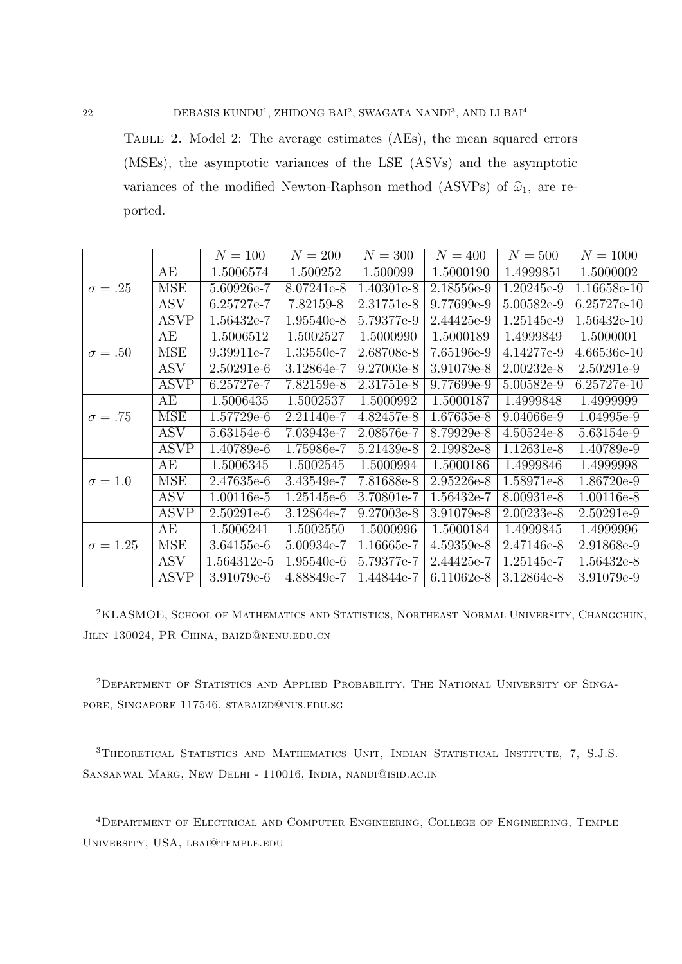Table 2. Model 2: The average estimates (AEs), the mean squared errors (MSEs), the asymptotic variances of the LSE (ASVs) and the asymptotic variances of the modified Newton-Raphson method (ASVPs) of  $\hat{\omega}_1$ , are reported.

|                 |             | $N = 100$    | $N = 200$    | $N = 300$    | $N = 400$  | $N = 500$    | $N = 1000$  |
|-----------------|-------------|--------------|--------------|--------------|------------|--------------|-------------|
|                 | AE          | 1.5006574    | 1.500252     | 1.500099     | 1.5000190  | 1.4999851    | 1.5000002   |
| $\sigma = .25$  | <b>MSE</b>  | 5.60926e-7   | 8.07241e-8   | 1.40301e-8   | 2.18556e-9 | 1.20245e-9   | 1.16658e-10 |
|                 | <b>ASV</b>  | 6.25727e-7   | 7.82159-8    | 2.31751e-8   | 9.77699e-9 | 5.00582e-9   | 6.25727e-10 |
|                 | <b>ASVP</b> | 1.56432e-7   | 1.95540e-8   | 5.79377e-9   | 2.44425e-9 | 1.25145e-9   | 1.56432e-10 |
|                 | AE          | 1.5006512    | 1.5002527    | 1.5000990    | 1.5000189  | 1.4999849    | 1.5000001   |
| $\sigma = .50$  | <b>MSE</b>  | 9.39911e-7   | 1.33550e-7   | 2.68708e-8   | 7.65196e-9 | 4.14277e-9   | 4.66536e-10 |
|                 | <b>ASV</b>  | $2.50291e-6$ | 3.12864e-7   | 9.27003e-8   | 3.91079e-8 | $2.00232e-8$ | 2.50291e-9  |
|                 | <b>ASVP</b> | 6.25727e-7   | 7.82159e-8   | $2.31751e-8$ | 9.77699e-9 | $5.00582e-9$ | 6.25727e-10 |
|                 | AE          | 1.5006435    | 1.5002537    | 1.5000992    | 1.5000187  | 1.4999848    | 1.4999999   |
| $\sigma = .75$  | <b>MSE</b>  | 1.57729e-6   | 2.21140e-7   | 4.82457e-8   | 1.67635e-8 | 9.04066e-9   | 1.04995e-9  |
|                 | <b>ASV</b>  | 5.63154e-6   | 7.03943e-7   | 2.08576e-7   | 8.79929e-8 | $4.50524e-8$ | 5.63154e-9  |
|                 | <b>ASVP</b> | 1.40789e-6   | 1.75986e-7   | 5.21439e-8   | 2.19982e-8 | 1.12631e-8   | 1.40789e-9  |
|                 | AE          | 1.5006345    | 1.5002545    | 1.5000994    | 1.5000186  | 1.4999846    | 1.4999998   |
| $\sigma = 1.0$  | <b>MSE</b>  | 2.47635e-6   | 3.43549e-7   | 7.81688e-8   | 2.95226e-8 | 1.58971e-8   | 1.86720e-9  |
|                 | <b>ASV</b>  | 1.00116e-5   | 1.25145e-6   | 3.70801e-7   | 1.56432e-7 | 8.00931e-8   | 1.00116e-8  |
|                 | <b>ASVP</b> | 2.50291e-6   | 3.12864e-7   | 9.27003e-8   | 3.91079e-8 | 2.00233e-8   | 2.50291e-9  |
|                 | AE          | 1.5006241    | 1.5002550    | 1.5000996    | 1.5000184  | 1.4999845    | 1.4999996   |
| $\sigma = 1.25$ | <b>MSE</b>  | 3.64155e-6   | $5.00934e-7$ | 1.16665e-7   | 4.59359e-8 | 2.47146e-8   | 2.91868e-9  |
|                 | <b>ASV</b>  | 1.564312e-5  | 1.95540e-6   | 5.79377e-7   | 2.44425e-7 | 1.25145e-7   | 1.56432e-8  |
|                 | <b>ASVP</b> | 3.91079e-6   | 4.88849e-7   | 1.44844e-7   | 6.11062e-8 | 3.12864e-8   | 3.91079e-9  |

<sup>2</sup>KLASMOE, School of Mathematics and Statistics, Northeast Normal University, Changchun, Jilin 130024, PR China, baizd@nenu.edu.cn

2Department of Statistics and Applied Probability, The National University of Singapore, Singapore 117546, stabaizd@nus.edu.sg

<sup>3</sup>THEORETICAL STATISTICS AND MATHEMATICS UNIT, INDIAN STATISTICAL INSTITUTE, 7, S.J.S. Sansanwal Marg, New Delhi - 110016, India, nandi@isid.ac.in

<sup>4</sup>Department of Electrical and Computer Engineering, College of Engineering, Temple University, USA, lbai@temple.edu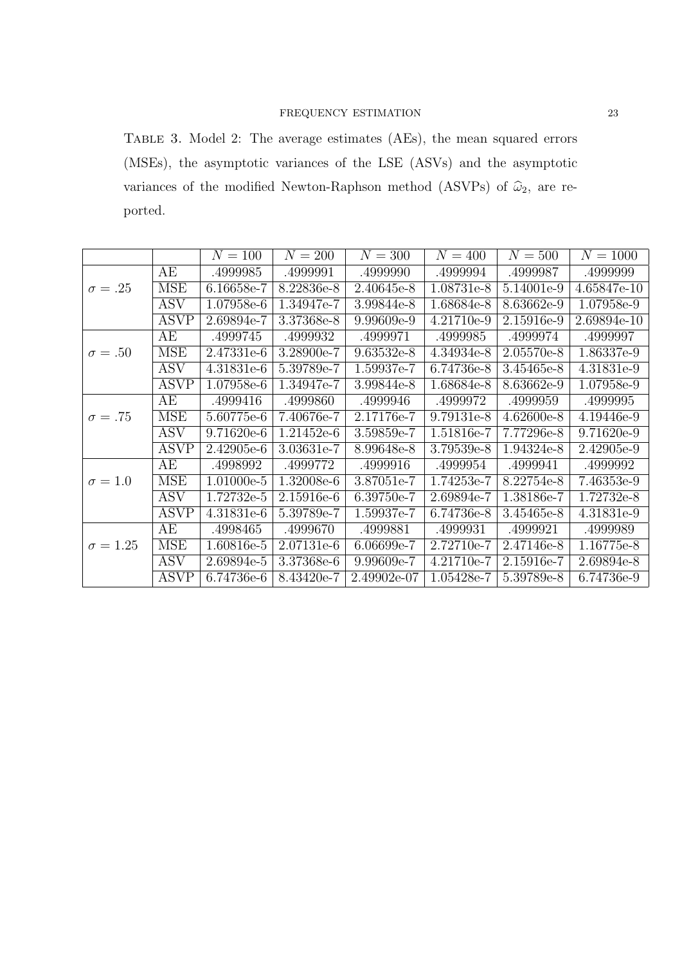# FREQUENCY ESTIMATION 23

Table 3. Model 2: The average estimates (AEs), the mean squared errors (MSEs), the asymptotic variances of the LSE (ASVs) and the asymptotic variances of the modified Newton-Raphson method (ASVPs) of  $\hat{\omega}_2$ , are reported.

|                 |             | $N = 100$  | $N = 200$    | $N = 300$   | $N = 400$  | $N = 500$    | $N = 1000$  |
|-----------------|-------------|------------|--------------|-------------|------------|--------------|-------------|
|                 | AE          | .4999985   | .4999991     | .4999990    | .4999994   | .4999987     | .4999999    |
| $\sigma = .25$  | <b>MSE</b>  | 6.16658e-7 | 8.22836e-8   | 2.40645e-8  | 1.08731e-8 | 5.14001e-9   | 4.65847e-10 |
|                 | <b>ASV</b>  | 1.07958e-6 | 1.34947e-7   | 3.99844e-8  | 1.68684e-8 | 8.63662e-9   | 1.07958e-9  |
|                 | <b>ASVP</b> | 2.69894e-7 | 3.37368e-8   | 9.99609e-9  | 4.21710e-9 | 2.15916e-9   | 2.69894e-10 |
|                 | AE          | .4999745   | .4999932     | .4999971    | .4999985   | .4999974     | .4999997    |
| $\sigma = .50$  | <b>MSE</b>  | 2.47331e-6 | 3.28900e-7   | 9.63532e-8  | 4.34934e-8 | 2.05570e-8   | 1.86337e-9  |
|                 | <b>ASV</b>  | 4.31831e-6 | 5.39789e-7   | 1.59937e-7  | 6.74736e-8 | 3.45465e-8   | 4.31831e-9  |
|                 | <b>ASVP</b> | 1.07958e-6 | 1.34947e-7   | 3.99844e-8  | 1.68684e-8 | 8.63662e-9   | 1.07958e-9  |
|                 | AE          | .4999416   | .4999860     | .4999946    | .4999972   | .4999959     | .4999995    |
| $\sigma = .75$  | <b>MSE</b>  | 5.60775e-6 | 7.40676e-7   | 2.17176e-7  | 9.79131e-8 | 4.62600e-8   | 4.19446e-9  |
|                 | <b>ASV</b>  | 9.71620e-6 | 1.21452e-6   | 3.59859e-7  | 1.51816e-7 | 7.77296e-8   | 9.71620e-9  |
|                 | <b>ASVP</b> | 2.42905e-6 | 3.03631e-7   | 8.99648e-8  | 3.79539e-8 | 1.94324e-8   | 2.42905e-9  |
|                 | AE          | .4998992   | .4999772     | .4999916    | .4999954   | .4999941     | .4999992    |
| $\sigma = 1.0$  | <b>MSE</b>  | 1.01000e-5 | 1.32008e-6   | 3.87051e-7  | 1.74253e-7 | 8.22754e-8   | 7.46353e-9  |
|                 | <b>ASV</b>  | 1.72732e-5 | 2.15916e-6   | 6.39750e-7  | 2.69894e-7 | 1.38186e-7   | 1.72732e-8  |
|                 | <b>ASVP</b> | 4.31831e-6 | 5.39789e-7   | 1.59937e-7  | 6.74736e-8 | 3.45465e-8   | 4.31831e-9  |
|                 | AE          | .4998465   | .4999670     | .4999881    | .4999931   | .4999921     | .4999989    |
| $\sigma = 1.25$ | MSE         | 1.60816e-5 | 2.07131e-6   | 6.06699e-7  | 2.72710e-7 | $2.47146e-8$ | 1.16775e-8  |
|                 | <b>ASV</b>  | 2.69894e-5 | 3.37368e-6   | 9.99609e-7  | 4.21710e-7 | 2.15916e-7   | 2.69894e-8  |
|                 | <b>ASVP</b> | 6.74736e-6 | $8.43420e-7$ | 2.49902e-07 | 1.05428e-7 | 5.39789e-8   | 6.74736e-9  |